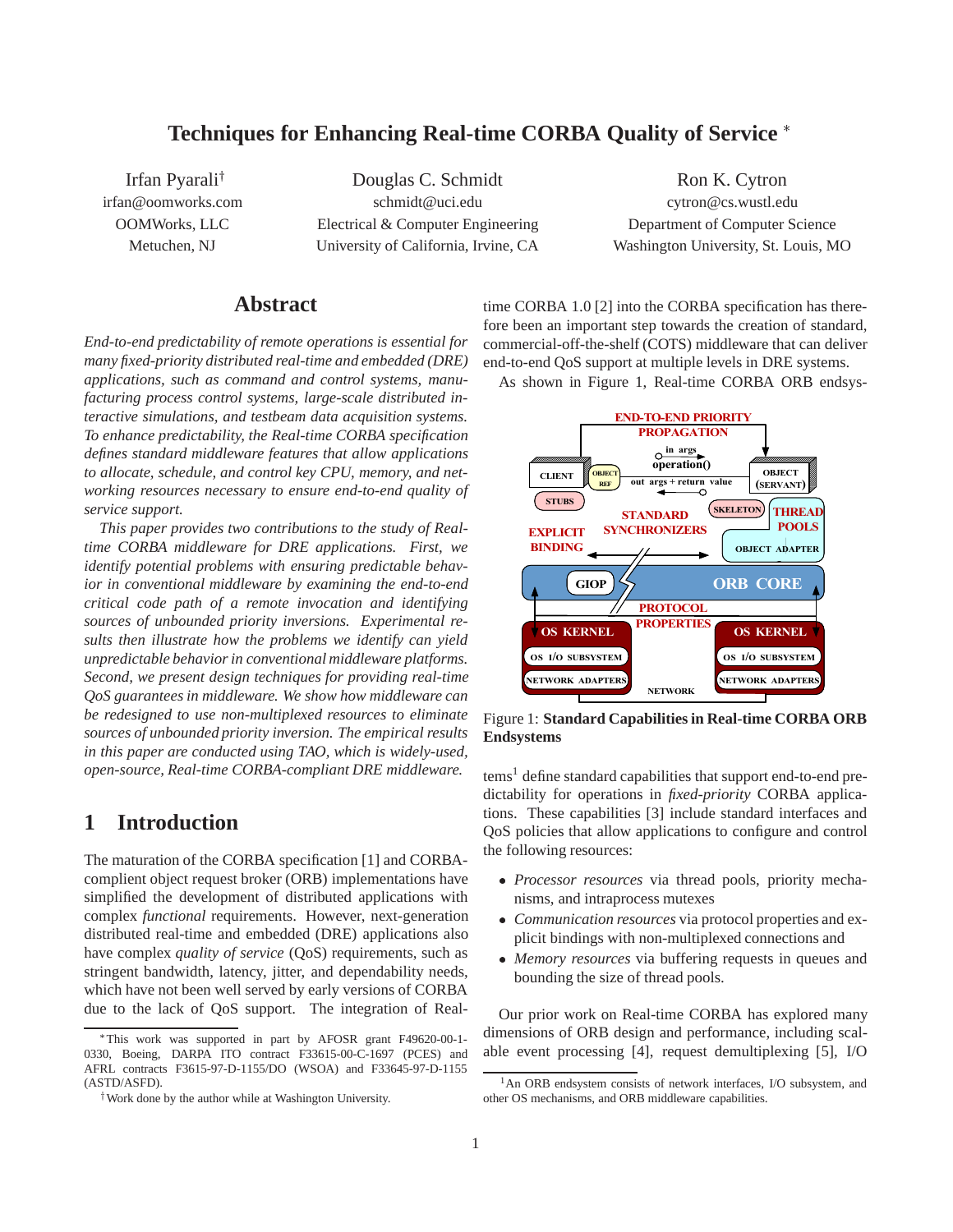## **Techniques for Enhancing Real-time CORBA Quality of Service**

Irfan Pyarali<sup>†</sup>

Douglas C. Schmidt Ron K. Cytron irfan@oomworks.com schmidt@uci.edu cytron@cs.wustl.edu

OOMWorks, LLC Electrical & Computer Engineering Department of Computer Science Metuchen, NJ University of California, Irvine, CA Washington University, St. Louis, MO

## **Abstract**

*End-to-end predictability of remote operations is essential for many fixed-priority distributed real-time and embedded (DRE) applications, such as command and control systems, manufacturing process control systems, large-scale distributed interactive simulations, and testbeam data acquisition systems. To enhance predictability, the Real-time CORBA specification defines standard middleware features that allow applications to allocate, schedule, and control key CPU, memory, and networking resources necessary to ensure end-to-end quality of service support.*

*This paper provides two contributions to the study of Realtime CORBA middleware for DRE applications. First, we identify potential problems with ensuring predictable behavior in conventional middleware by examining the end-to-end critical code path of a remote invocation and identifying sources of unbounded priority inversions. Experimental results then illustrate how the problems we identify can yield unpredictable behavior in conventional middleware platforms. Second, we present design techniques for providing real-time QoS guarantees in middleware. We show how middleware can be redesigned to use non-multiplexed resources to eliminate sources of unbounded priority inversion. The empirical results in this paper are conducted using TAO, which is widely-used, open-source, Real-time CORBA-compliant DRE middleware.*

## **1 Introduction**

The maturation of the CORBA specification [1] and CORBAcomplient object request broker (ORB) implementations have simplified the development of distributed applications with complex *functional* requirements. However, next-generation distributed real-time and embedded (DRE) applications also have complex *quality of service* (OoS) requirements, such as stringent bandwidth, latency, jitter, and dependability needs, which have not been well served by early versions of CORBA due to the lack of QoS support. The integration of Realtime CORBA 1.0 [2] into the CORBA specification has therefore been an important step towards the creation of standard, commercial-off-the-shelf (COTS) middleware that can deliver end-to-end QoS support at multiple levels in DRE systems.

As shown in Figure 1, Real-time CORBA ORB endsys-



Figure 1: **Standard Capabilities in Real-time CORBA ORB Endsystems**

 $tems<sup>1</sup>$  define standard capabilities that support end-to-end predictability for operations in *fixed-priority* CORBA applications. These capabilities [3] include standard interfaces and QoS policies that allow applications to configure and control the following resources:

- *Processor resources* via thread pools, priority mechanisms, and intraprocess mutexes
- *Communication resources* via protocol properties and explicit bindings with non-multiplexed connections and
- *Memory resources* via buffering requests in queues and bounding the size of thread pools.

Our prior work on Real-time CORBA has explored many dimensions of ORB design and performance, including scalable event processing [4], request demultiplexing [5], I/O

This work was supported in part by AFOSR grant F49620-00-1- 0330, Boeing, DARPA ITO contract F33615-00-C-1697 (PCES) and AFRL contracts F3615-97-D-1155/DO (WSOA) and F33645-97-D-1155 (ASTD/ASFD).

<sup>&</sup>lt;sup>†</sup> Work done by the author while at Washington University.

<sup>&</sup>lt;sup>1</sup>An ORB endsystem consists of network interfaces, I/O subsystem, and other OS mechanisms, and ORB middleware capabilities.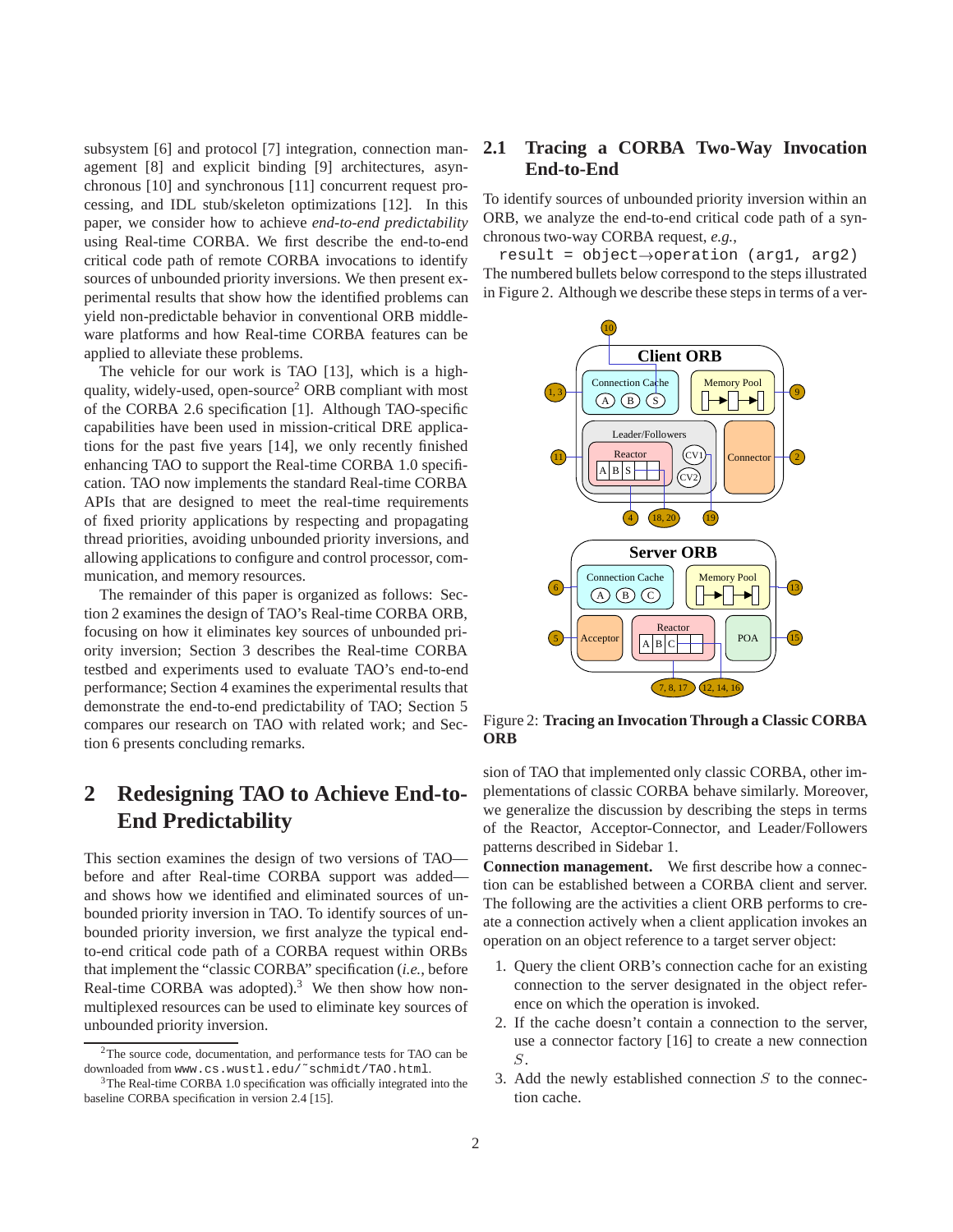subsystem [6] and protocol [7] integration, connection management [8] and explicit binding [9] architectures, asynchronous [10] and synchronous [11] concurrent request processing, and IDL stub/skeleton optimizations [12]. In this paper, we consider how to achieve *end-to-end predictability* using Real-time CORBA. We first describe the end-to-end critical code path of remote CORBA invocations to identify sources of unbounded priority inversions. We then present experimental results that show how the identified problems can yield non-predictable behavior in conventional ORB middleware platforms and how Real-time CORBA features can be applied to alleviate these problems.

The vehicle for our work is TAO [13], which is a highquality, widely-used, open-source<sup>2</sup> ORB compliant with most of the CORBA 2.6 specification [1]. Although TAO-specific capabilities have been used in mission-critical DRE applications for the past five years [14], we only recently finished enhancing TAO to support the Real-time CORBA 1.0 specification. TAO now implements the standard Real-time CORBA APIs that are designed to meet the real-time requirements of fixed priority applications by respecting and propagating thread priorities, avoiding unbounded priority inversions, and allowing applications to configure and control processor, communication, and memory resources.

The remainder of this paper is organized as follows: Section 2 examines the design of TAO's Real-time CORBA ORB, focusing on how it eliminates key sources of unbounded priority inversion; Section 3 describes the Real-time CORBA testbed and experiments used to evaluate TAO's end-to-end performance; Section 4 examines the experimental results that demonstrate the end-to-end predictability of TAO; Section 5 compares our research on TAO with related work; and Section 6 presents concluding remarks.

# **2 Redesigning TAO to Achieve End-to-End Predictability**

This section examines the design of two versions of TAO before and after Real-time CORBA support was added and shows how we identified and eliminated sources of unbounded priority inversion in TAO. To identify sources of unbounded priority inversion, we first analyze the typical endto-end critical code path of a CORBA request within ORBs that implement the "classic CORBA" specification (*i.e.*, before Real-time CORBA was adopted).<sup>3</sup> We then show how nonmultiplexed resources can be used to eliminate key sources of unbounded priority inversion.

### **2.1 Tracing a CORBA Two-Way Invocation End-to-End**

To identify sources of unbounded priority inversion within an ORB, we analyze the end-to-end critical code path of a synchronous two-way CORBA request, *e.g.*,

result = object $\rightarrow$ operation (arg1, arg2) The numbered bullets below correspond to the steps illustrated in Figure 2. Although we describe these steps in terms of a ver-



Figure 2: **Tracing an Invocation Through a Classic CORBA ORB**

sion of TAO that implemented only classic CORBA, other implementations of classic CORBA behave similarly. Moreover, we generalize the discussion by describing the steps in terms of the Reactor, Acceptor-Connector, and Leader/Followers patterns described in Sidebar 1.

**Connection management.** We first describe how a connection can be established between a CORBA client and server. The following are the activities a client ORB performs to create a connection actively when a client application invokes an operation on an object reference to a target server object:

- 1. Query the client ORB's connection cache for an existing connection to the server designated in the object reference on which the operation is invoked.
- 2. If the cache doesn't contain a connection to the server, use a connector factory [16] to create a new connection S.
- 3. Add the newly established connection  $S$  to the connection cache.

 $2$ The source code, documentation, and performance tests for TAO can be downloaded from www.cs.wustl.edu/˜schmidt/TAO.html.

<sup>&</sup>lt;sup>3</sup>The Real-time CORBA 1.0 specification was officially integrated into the baseline CORBA specification in version 2.4 [15].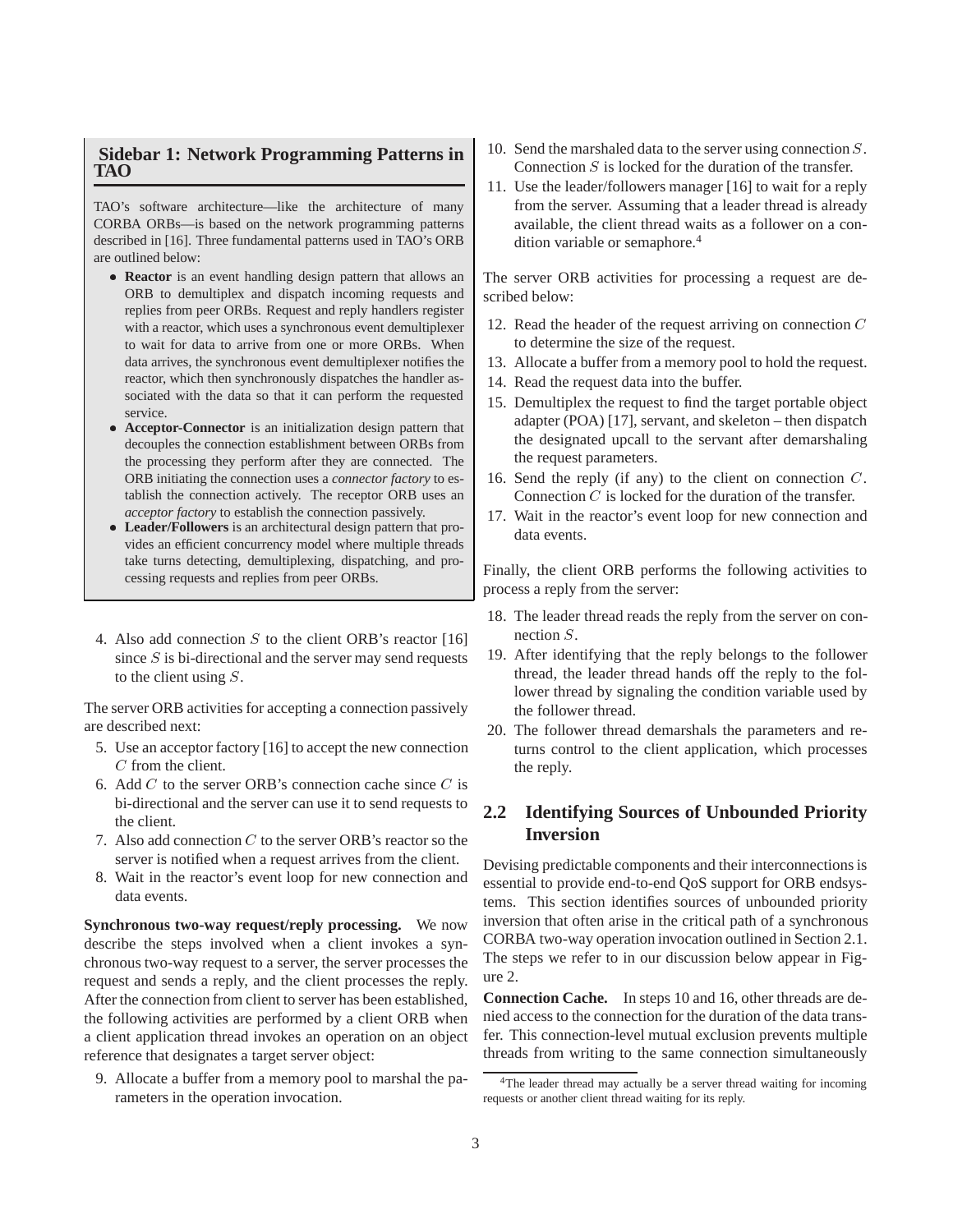### **Sidebar 1: Network Programming Patterns in TAO**

TAO's software architecture—like the architecture of many CORBA ORBs—is based on the network programming patterns described in [16]. Three fundamental patterns used in TAO's ORB are outlined below:

- **Reactor** is an event handling design pattern that allows an ORB to demultiplex and dispatch incoming requests and replies from peer ORBs. Request and reply handlers register with a reactor, which uses a synchronous event demultiplexer to wait for data to arrive from one or more ORBs. When data arrives, the synchronous event demultiplexer notifies the reactor, which then synchronously dispatches the handler associated with the data so that it can perform the requested service.
- **Acceptor-Connector** is an initialization design pattern that decouples the connection establishment between ORBs from the processing they perform after they are connected. The ORB initiating the connection uses a *connector factory* to establish the connection actively. The receptor ORB uses an *acceptor factory* to establish the connection passively.
- **Leader/Followers** is an architectural design pattern that provides an efficient concurrency model where multiple threads take turns detecting, demultiplexing, dispatching, and processing requests and replies from peer ORBs.
- 4. Also add connection  $S$  to the client ORB's reactor [16] since  $S$  is bi-directional and the server may send requests to the client using  $S$ .

The server ORB activities for accepting a connection passively are described next:

- 5. Use an acceptor factory [16] to accept the new connection  $C$  from the client.
- 6. Add  $C$  to the server ORB's connection cache since  $C$  is bi-directional and the server can use it to send requests to the client.
- 7. Also add connection  $C$  to the server ORB's reactor so the server is notified when a request arrives from the client.
- 8. Wait in the reactor's event loop for new connection and data events.

**Synchronous two-way request/reply processing.** We now describe the steps involved when a client invokes a synchronous two-way request to a server, the server processes the request and sends a reply, and the client processes the reply. After the connection from client to server has been established, the following activities are performed by a client ORB when a client application thread invokes an operation on an object reference that designates a target server object:

9. Allocate a buffer from a memory pool to marshal the parameters in the operation invocation.

- 10. Send the marshaled data to the server using connection  $S$ . Connection <sup>S</sup> is locked for the duration of the transfer.
- 11. Use the leader/followers manager [16] to wait for a reply from the server. Assuming that a leader thread is already available, the client thread waits as a follower on a condition variable or semaphore.<sup>4</sup>

The server ORB activities for processing a request are described below:

- 12. Read the header of the request arriving on connection <sup>C</sup> to determine the size of the request.
- 13. Allocate a buffer from a memory pool to hold the request.
- 14. Read the request data into the buffer.
- 15. Demultiplex the request to find the target portable object adapter (POA) [17], servant, and skeleton – then dispatch the designated upcall to the servant after demarshaling the request parameters.
- 16. Send the reply (if any) to the client on connection <sup>C</sup>. Connection <sup>C</sup> is locked for the duration of the transfer.
- 17. Wait in the reactor's event loop for new connection and data events.

Finally, the client ORB performs the following activities to process a reply from the server:

- 18. The leader thread reads the reply from the server on connection <sup>S</sup>.
- 19. After identifying that the reply belongs to the follower thread, the leader thread hands off the reply to the follower thread by signaling the condition variable used by the follower thread.
- 20. The follower thread demarshals the parameters and returns control to the client application, which processes the reply.

## **2.2 Identifying Sources of Unbounded Priority Inversion**

Devising predictable components and their interconnections is essential to provide end-to-end QoS support for ORB endsystems. This section identifies sources of unbounded priority inversion that often arise in the critical path of a synchronous CORBA two-way operation invocation outlined in Section 2.1. The steps we refer to in our discussion below appear in Figure 2.

**Connection Cache.** In steps 10 and 16, other threads are denied access to the connection for the duration of the data transfer. This connection-level mutual exclusion prevents multiple threads from writing to the same connection simultaneously

<sup>&</sup>lt;sup>4</sup>The leader thread may actually be a server thread waiting for incoming requests or another client thread waiting for its reply.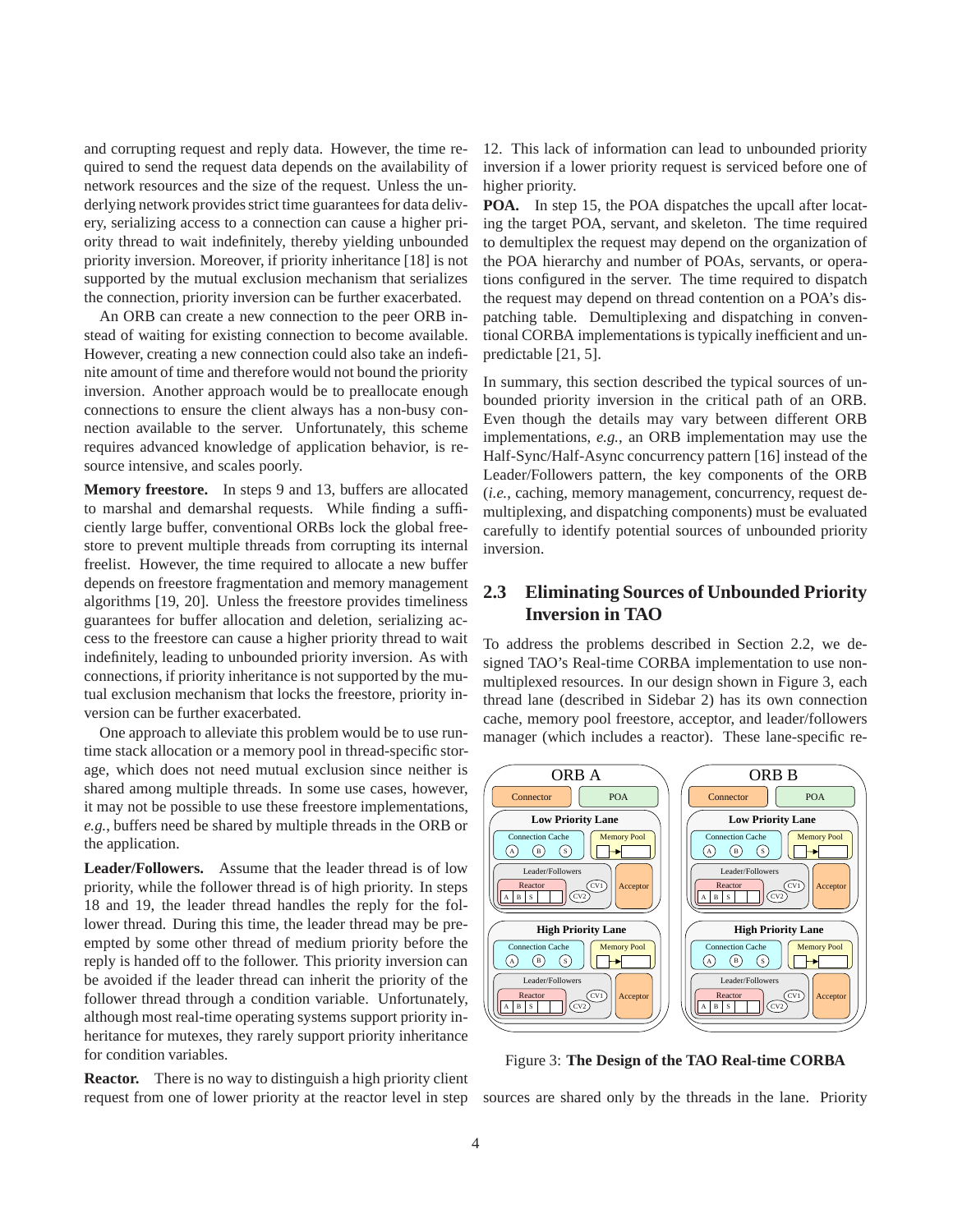and corrupting request and reply data. However, the time required to send the request data depends on the availability of network resources and the size of the request. Unless the underlying network provides strict time guarantees for data delivery, serializing access to a connection can cause a higher priority thread to wait indefinitely, thereby yielding unbounded priority inversion. Moreover, if priority inheritance [18] is not supported by the mutual exclusion mechanism that serializes the connection, priority inversion can be further exacerbated.

An ORB can create a new connection to the peer ORB instead of waiting for existing connection to become available. However, creating a new connection could also take an indefinite amount of time and therefore would not bound the priority inversion. Another approach would be to preallocate enough connections to ensure the client always has a non-busy connection available to the server. Unfortunately, this scheme requires advanced knowledge of application behavior, is resource intensive, and scales poorly.

**Memory freestore.** In steps 9 and 13, buffers are allocated to marshal and demarshal requests. While finding a sufficiently large buffer, conventional ORBs lock the global freestore to prevent multiple threads from corrupting its internal freelist. However, the time required to allocate a new buffer depends on freestore fragmentation and memory management algorithms [19, 20]. Unless the freestore provides timeliness guarantees for buffer allocation and deletion, serializing access to the freestore can cause a higher priority thread to wait indefinitely, leading to unbounded priority inversion. As with connections, if priority inheritance is not supported by the mutual exclusion mechanism that locks the freestore, priority inversion can be further exacerbated.

One approach to alleviate this problem would be to use runtime stack allocation or a memory pool in thread-specific storage, which does not need mutual exclusion since neither is shared among multiple threads. In some use cases, however, it may not be possible to use these freestore implementations, *e.g.*, buffers need be shared by multiple threads in the ORB or the application.

**Leader/Followers.** Assume that the leader thread is of low priority, while the follower thread is of high priority. In steps 18 and 19, the leader thread handles the reply for the follower thread. During this time, the leader thread may be preempted by some other thread of medium priority before the reply is handed off to the follower. This priority inversion can be avoided if the leader thread can inherit the priority of the follower thread through a condition variable. Unfortunately, although most real-time operating systems support priority inheritance for mutexes, they rarely support priority inheritance for condition variables.

**Reactor.** There is no way to distinguish a high priority client request from one of lower priority at the reactor level in step 12. This lack of information can lead to unbounded priority inversion if a lower priority request is serviced before one of higher priority.

**POA.** In step 15, the POA dispatches the upcall after locating the target POA, servant, and skeleton. The time required to demultiplex the request may depend on the organization of the POA hierarchy and number of POAs, servants, or operations configured in the server. The time required to dispatch the request may depend on thread contention on a POA's dispatching table. Demultiplexing and dispatching in conventional CORBA implementations is typically inefficient and unpredictable [21, 5].

In summary, this section described the typical sources of unbounded priority inversion in the critical path of an ORB. Even though the details may vary between different ORB implementations, *e.g.*, an ORB implementation may use the Half-Sync/Half-Async concurrency pattern [16] instead of the Leader/Followers pattern, the key components of the ORB (*i.e.*, caching, memory management, concurrency, request demultiplexing, and dispatching components) must be evaluated carefully to identify potential sources of unbounded priority inversion.

## **2.3 Eliminating Sources of Unbounded Priority Inversion in TAO**

To address the problems described in Section 2.2, we designed TAO's Real-time CORBA implementation to use nonmultiplexed resources. In our design shown in Figure 3, each thread lane (described in Sidebar 2) has its own connection cache, memory pool freestore, acceptor, and leader/followers manager (which includes a reactor). These lane-specific re-



Figure 3: **The Design of the TAO Real-time CORBA**

sources are shared only by the threads in the lane. Priority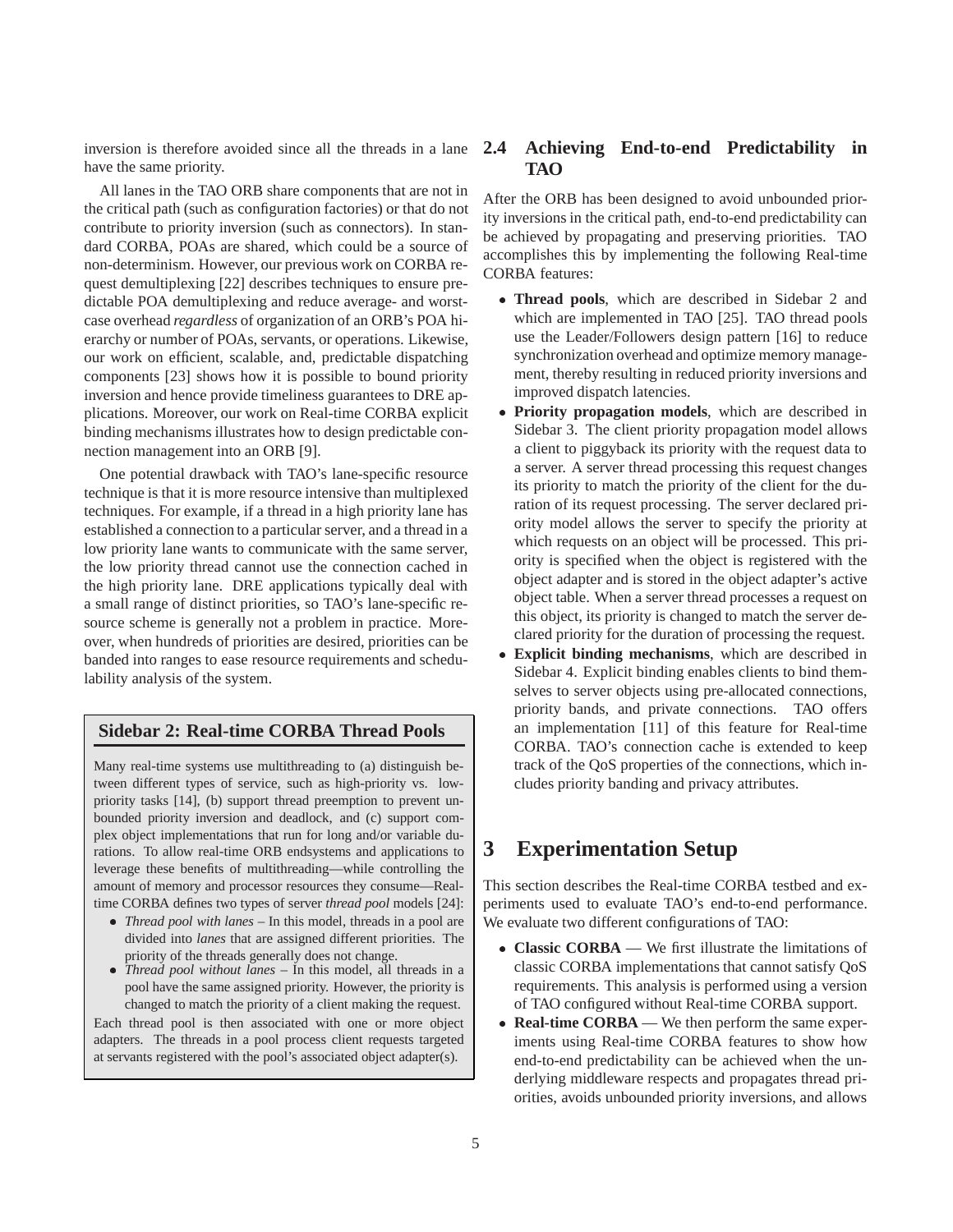inversion is therefore avoided since all the threads in a lane have the same priority.

All lanes in the TAO ORB share components that are not in the critical path (such as configuration factories) or that do not contribute to priority inversion (such as connectors). In standard CORBA, POAs are shared, which could be a source of non-determinism. However, our previous work on CORBA request demultiplexing [22] describes techniques to ensure predictable POA demultiplexing and reduce average- and worstcase overhead *regardless* of organization of an ORB's POA hierarchy or number of POAs, servants, or operations. Likewise, our work on efficient, scalable, and, predictable dispatching components [23] shows how it is possible to bound priority inversion and hence provide timeliness guarantees to DRE applications. Moreover, our work on Real-time CORBA explicit binding mechanisms illustrates how to design predictable connection management into an ORB [9].

One potential drawback with TAO's lane-specific resource technique is that it is more resource intensive than multiplexed techniques. For example, if a thread in a high priority lane has established a connection to a particular server, and a thread in a low priority lane wants to communicate with the same server, the low priority thread cannot use the connection cached in the high priority lane. DRE applications typically deal with a small range of distinct priorities, so TAO's lane-specific resource scheme is generally not a problem in practice. Moreover, when hundreds of priorities are desired, priorities can be banded into ranges to ease resource requirements and schedulability analysis of the system.

### **Sidebar 2: Real-time CORBA Thread Pools**

Many real-time systems use multithreading to (a) distinguish between different types of service, such as high-priority vs. lowpriority tasks [14], (b) support thread preemption to prevent unbounded priority inversion and deadlock, and (c) support complex object implementations that run for long and/or variable durations. To allow real-time ORB endsystems and applications to leverage these benefits of multithreading—while controlling the amount of memory and processor resources they consume—Realtime CORBA defines two types of server *thread pool* models [24]:

- *Thread pool with lanes* In this model, threads in a pool are divided into *lanes* that are assigned different priorities. The priority of the threads generally does not change.
- *Thread pool without lanes* In this model, all threads in a pool have the same assigned priority. However, the priority is changed to match the priority of a client making the request.

Each thread pool is then associated with one or more object adapters. The threads in a pool process client requests targeted at servants registered with the pool's associated object adapter(s).

### **2.4 Achieving End-to-end Predictability in TAO**

After the ORB has been designed to avoid unbounded priority inversions in the critical path, end-to-end predictability can be achieved by propagating and preserving priorities. TAO accomplishes this by implementing the following Real-time CORBA features:

- **Thread pools**, which are described in Sidebar 2 and which are implemented in TAO [25]. TAO thread pools use the Leader/Followers design pattern [16] to reduce synchronization overhead and optimize memory management, thereby resulting in reduced priority inversions and improved dispatch latencies.
- **Priority propagation models**, which are described in Sidebar 3. The client priority propagation model allows a client to piggyback its priority with the request data to a server. A server thread processing this request changes its priority to match the priority of the client for the duration of its request processing. The server declared priority model allows the server to specify the priority at which requests on an object will be processed. This priority is specified when the object is registered with the object adapter and is stored in the object adapter's active object table. When a server thread processes a request on this object, its priority is changed to match the server declared priority for the duration of processing the request.
- **Explicit binding mechanisms**, which are described in Sidebar 4. Explicit binding enables clients to bind themselves to server objects using pre-allocated connections, priority bands, and private connections. TAO offers an implementation [11] of this feature for Real-time CORBA. TAO's connection cache is extended to keep track of the QoS properties of the connections, which includes priority banding and privacy attributes.

# **3 Experimentation Setup**

This section describes the Real-time CORBA testbed and experiments used to evaluate TAO's end-to-end performance. We evaluate two different configurations of TAO:

- **Classic CORBA** We first illustrate the limitations of classic CORBA implementations that cannot satisfy QoS requirements. This analysis is performed using a version of TAO configured without Real-time CORBA support.
- **Real-time CORBA** We then perform the same experiments using Real-time CORBA features to show how end-to-end predictability can be achieved when the underlying middleware respects and propagates thread priorities, avoids unbounded priority inversions, and allows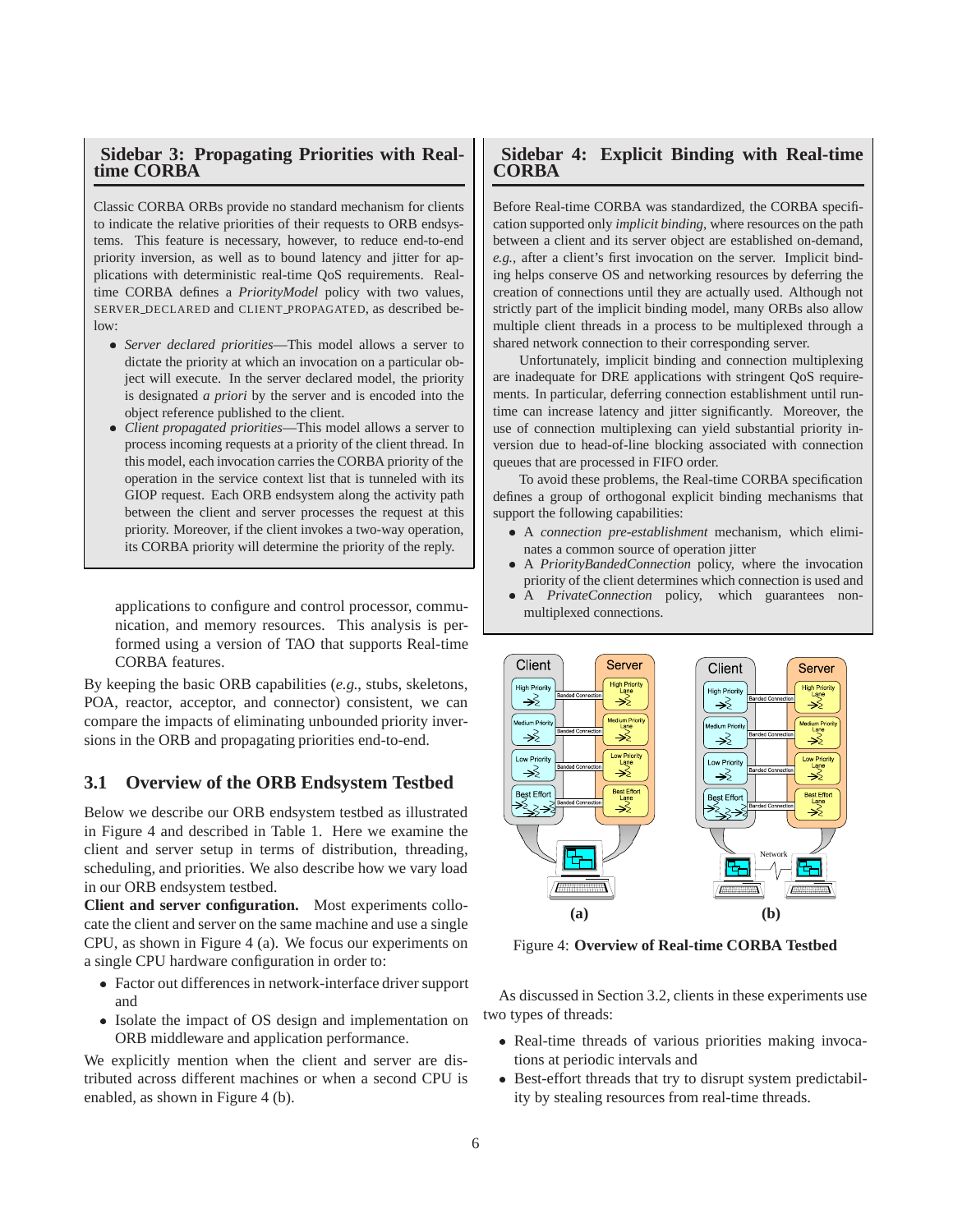### **Sidebar 3: Propagating Priorities with Realtime CORBA**

Classic CORBA ORBs provide no standard mechanism for clients to indicate the relative priorities of their requests to ORB endsystems. This feature is necessary, however, to reduce end-to-end priority inversion, as well as to bound latency and jitter for applications with deterministic real-time QoS requirements. Realtime CORBA defines a *PriorityModel* policy with two values, SERVER DECLARED and CLIENT PROPAGATED, as described be $low<sup>2</sup>$ 

- *Server declared priorities*—This model allows a server to dictate the priority at which an invocation on a particular object will execute. In the server declared model, the priority is designated *a priori* by the server and is encoded into the object reference published to the client.
- *Client propagated priorities*—This model allows a server to process incoming requests at a priority of the client thread. In this model, each invocation carries the CORBA priority of the operation in the service context list that is tunneled with its GIOP request. Each ORB endsystem along the activity path between the client and server processes the request at this priority. Moreover, if the client invokes a two-way operation, its CORBA priority will determine the priority of the reply.

applications to configure and control processor, communication, and memory resources. This analysis is performed using a version of TAO that supports Real-time CORBA features.

By keeping the basic ORB capabilities (*e.g.*, stubs, skeletons, POA, reactor, acceptor, and connector) consistent, we can compare the impacts of eliminating unbounded priority inversions in the ORB and propagating priorities end-to-end.

## **3.1 Overview of the ORB Endsystem Testbed**

Below we describe our ORB endsystem testbed as illustrated in Figure 4 and described in Table 1. Here we examine the client and server setup in terms of distribution, threading, scheduling, and priorities. We also describe how we vary load in our ORB endsystem testbed.

**Client and server configuration.** Most experiments collocate the client and server on the same machine and use a single CPU, as shown in Figure 4 (a). We focus our experiments on a single CPU hardware configuration in order to:

- Factor out differences in network-interface driver support and
- Isolate the impact of OS design and implementation on ORB middleware and application performance.

We explicitly mention when the client and server are distributed across different machines or when a second CPU is enabled, as shown in Figure 4 (b).

### **Sidebar 4: Explicit Binding with Real-time CORBA**

Before Real-time CORBA was standardized, the CORBA specification supported only *implicit binding*, where resources on the path between a client and its server object are established on-demand, *e.g.*, after a client's first invocation on the server. Implicit binding helps conserve OS and networking resources by deferring the creation of connections until they are actually used. Although not strictly part of the implicit binding model, many ORBs also allow multiple client threads in a process to be multiplexed through a shared network connection to their corresponding server.

Unfortunately, implicit binding and connection multiplexing are inadequate for DRE applications with stringent QoS requirements. In particular, deferring connection establishment until runtime can increase latency and jitter significantly. Moreover, the use of connection multiplexing can yield substantial priority inversion due to head-of-line blocking associated with connection queues that are processed in FIFO order.

To avoid these problems, the Real-time CORBA specification defines a group of orthogonal explicit binding mechanisms that support the following capabilities:

- A *connection pre-establishment* mechanism, which eliminates a common source of operation jitter
- A *PriorityBandedConnection* policy, where the invocation priority of the client determines which connection is used and
- A *PrivateConnection* policy, which guarantees nonmultiplexed connections.



Figure 4: **Overview of Real-time CORBA Testbed**

As discussed in Section 3.2, clients in these experiments use two types of threads:

- Real-time threads of various priorities making invocations at periodic intervals and
- Best-effort threads that try to disrupt system predictability by stealing resources from real-time threads.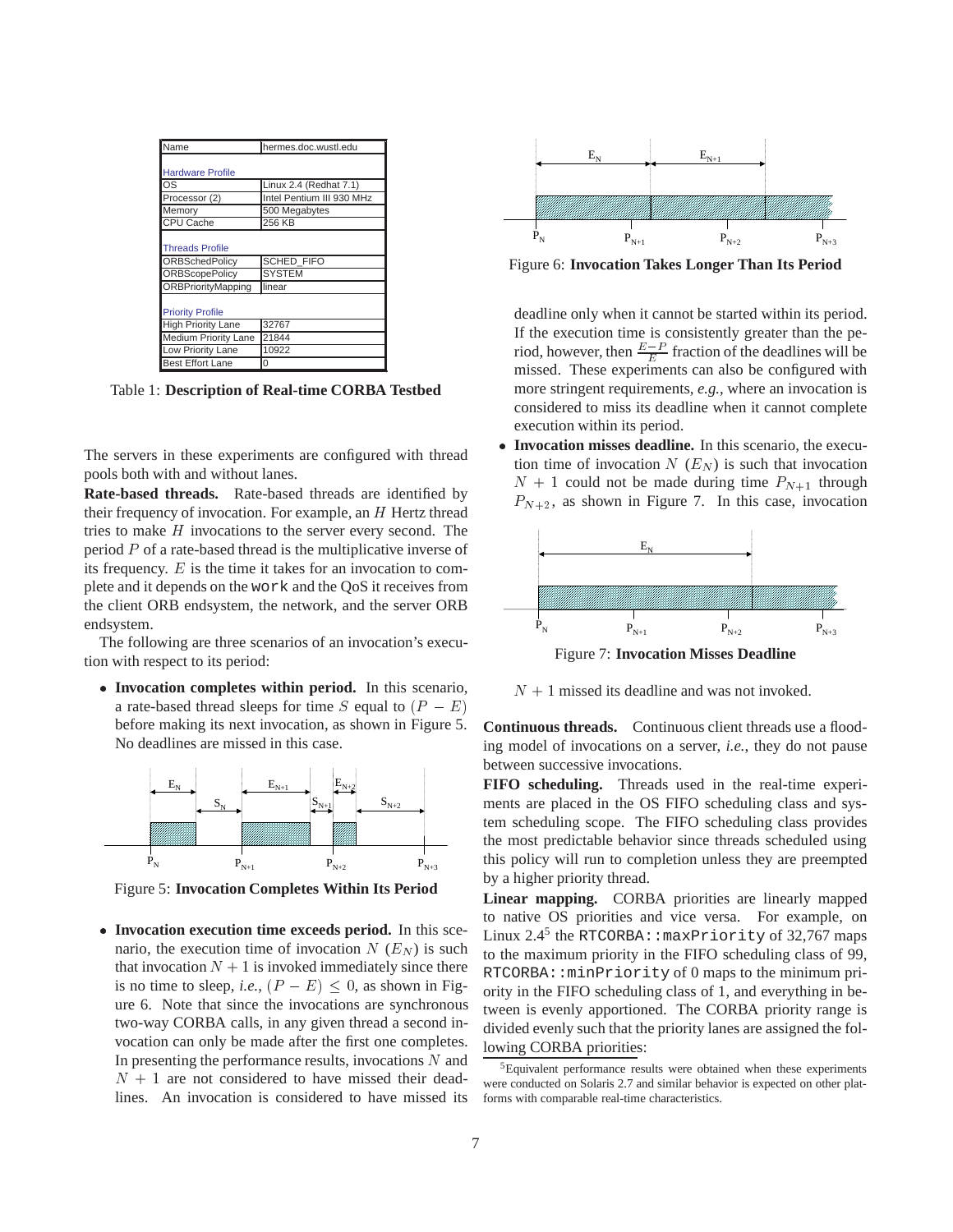| Name                      | hermes.doc.wustl.edu      |
|---------------------------|---------------------------|
|                           |                           |
| <b>Hardware Profile</b>   |                           |
| $\overline{\text{OS}}$    | Linux 2.4 (Redhat 7.1)    |
| Processor (2)             | Intel Pentium III 930 MHz |
| Memory                    | 500 Megabytes             |
| <b>CPU</b> Cache          | 256 KB                    |
|                           |                           |
| <b>Threads Profile</b>    |                           |
| ORBSchedPolicy            | <b>SCHED FIFO</b>         |
| <b>ORBScopePolicy</b>     | <b>SYSTEM</b>             |
| <b>ORBPriorityMapping</b> | linear                    |
|                           |                           |
| <b>Priority Profile</b>   |                           |
| <b>High Priority Lane</b> | 32767                     |
| Medium Priority Lane      | 21844                     |
| Low Priority Lane         | 10922                     |
| <b>Best Effort Lane</b>   |                           |

Table 1: **Description of Real-time CORBA Testbed**

The servers in these experiments are configured with thread pools both with and without lanes.

**Rate-based threads.** Rate-based threads are identified by their frequency of invocation. For example, an  $H$  Hertz thread tries to make  $H$  invocations to the server every second. The period <sup>P</sup> of a rate-based thread is the multiplicative inverse of its frequency.  $E$  is the time it takes for an invocation to complete and it depends on the work and the QoS it receives from the client ORB endsystem, the network, and the server ORB endsystem.

The following are three scenarios of an invocation's execution with respect to its period:

 **Invocation completes within period.** In this scenario, a rate-based thread sleeps for time S equal to  $(P - E)$ before making its next invocation, as shown in Figure 5. No deadlines are missed in this case.



Figure 5: **Invocation Completes Within Its Period**

 **Invocation execution time exceeds period.** In this scenario, the execution time of invocation  $N(E<sub>N</sub>)$  is such that invocation  $N + 1$  is invoked immediately since there is no time to sleep, *i.e.*,  $(P - E) \leq 0$ , as shown in Figure 6. Note that since the invocations are synchronous two-way CORBA calls, in any given thread a second invocation can only be made after the first one completes. In presenting the performance results, invocations  $N$  and  $N + 1$  are not considered to have missed their deadlines. An invocation is considered to have missed its



Figure 6: **Invocation Takes Longer Than Its Period**

deadline only when it cannot be started within its period. If the execution time is consistently greater than the period, however, then  $E-P \over E$  fraction of the deadlines will be missed. These experiments can also be configured with more stringent requirements, *e.g.*, where an invocation is considered to miss its deadline when it cannot complete execution within its period.

 **Invocation misses deadline.** In this scenario, the execution time of invocation  $N(E_N)$  is such that invocation  $N + 1$  could not be made during time  $P_{N+1}$  through  $P_{N+2}$ , as shown in Figure 7. In this case, invocation



Figure 7: **Invocation Misses Deadline**

 $N + 1$  missed its deadline and was not invoked.

Continuous threads. Continuous client threads use a flooding model of invocations on a server, *i.e.*, they do not pause between successive invocations.

**FIFO scheduling.** Threads used in the real-time experiments are placed in the OS FIFO scheduling class and system scheduling scope. The FIFO scheduling class provides the most predictable behavior since threads scheduled using this policy will run to completion unless they are preempted by a higher priority thread.

**Linear mapping.** CORBA priorities are linearly mapped to native OS priorities and vice versa. For example, on Linux 2.4<sup>5</sup> the RTCORBA:: maxPriority of 32,767 maps to the maximum priority in the FIFO scheduling class of 99, RTCORBA::minPriority of 0 maps to the minimum priority in the FIFO scheduling class of 1, and everything in between is evenly apportioned. The CORBA priority range is divided evenly such that the priority lanes are assigned the following CORBA priorities:

<sup>&</sup>lt;sup>5</sup>Equivalent performance results were obtained when these experiments were conducted on Solaris 2.7 and similar behavior is expected on other platforms with comparable real-time characteristics.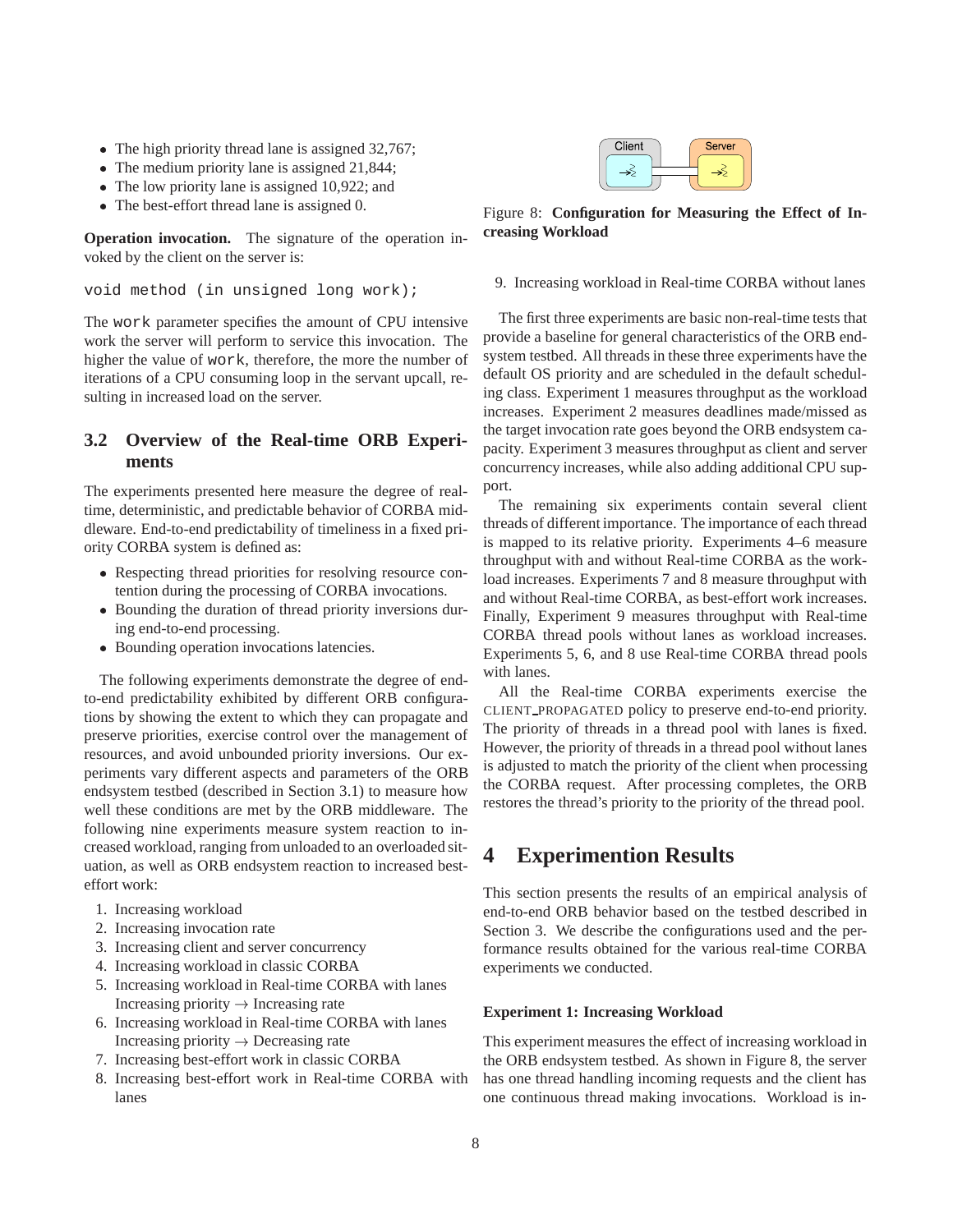- The high priority thread lane is assigned 32,767;
- The medium priority lane is assigned 21,844;
- The low priority lane is assigned 10,922; and
- The best-effort thread lane is assigned 0.

**Operation invocation.** The signature of the operation invoked by the client on the server is:

void method (in unsigned long work);

The work parameter specifies the amount of CPU intensive work the server will perform to service this invocation. The higher the value of work, therefore, the more the number of iterations of a CPU consuming loop in the servant upcall, resulting in increased load on the server.

## **3.2 Overview of the Real-time ORB Experiments**

The experiments presented here measure the degree of realtime, deterministic, and predictable behavior of CORBA middleware. End-to-end predictability of timeliness in a fixed priority CORBA system is defined as:

- Respecting thread priorities for resolving resource contention during the processing of CORBA invocations.
- Bounding the duration of thread priority inversions during end-to-end processing.
- Bounding operation invocations latencies.

The following experiments demonstrate the degree of endto-end predictability exhibited by different ORB configurations by showing the extent to which they can propagate and preserve priorities, exercise control over the management of resources, and avoid unbounded priority inversions. Our experiments vary different aspects and parameters of the ORB endsystem testbed (described in Section 3.1) to measure how well these conditions are met by the ORB middleware. The following nine experiments measure system reaction to increased workload, ranging from unloaded to an overloaded situation, as well as ORB endsystem reaction to increased besteffort work:

- 1. Increasing workload
- 2. Increasing invocation rate
- 3. Increasing client and server concurrency
- 4. Increasing workload in classic CORBA
- 5. Increasing workload in Real-time CORBA with lanes Increasing priority  $\rightarrow$  Increasing rate
- 6. Increasing workload in Real-time CORBA with lanes Increasing priority  $\rightarrow$  Decreasing rate
- 7. Increasing best-effort work in classic CORBA
- 8. Increasing best-effort work in Real-time CORBA with lanes



Figure 8: **Configuration for Measuring the Effect of Increasing Workload**

#### 9. Increasing workload in Real-time CORBA without lanes

The first three experiments are basic non-real-time tests that provide a baseline for general characteristics of the ORB endsystem testbed. All threads in these three experiments have the default OS priority and are scheduled in the default scheduling class. Experiment 1 measures throughput as the workload increases. Experiment 2 measures deadlines made/missed as the target invocation rate goes beyond the ORB endsystem capacity. Experiment 3 measures throughput as client and server concurrency increases, while also adding additional CPU support.

The remaining six experiments contain several client threads of different importance. The importance of each thread is mapped to its relative priority. Experiments 4–6 measure throughput with and without Real-time CORBA as the workload increases. Experiments 7 and 8 measure throughput with and without Real-time CORBA, as best-effort work increases. Finally, Experiment 9 measures throughput with Real-time CORBA thread pools without lanes as workload increases. Experiments 5, 6, and 8 use Real-time CORBA thread pools with lanes.

All the Real-time CORBA experiments exercise the CLIENT PROPAGATED policy to preserve end-to-end priority. The priority of threads in a thread pool with lanes is fixed. However, the priority of threads in a thread pool without lanes is adjusted to match the priority of the client when processing the CORBA request. After processing completes, the ORB restores the thread's priority to the priority of the thread pool.

## **4 Experimention Results**

This section presents the results of an empirical analysis of end-to-end ORB behavior based on the testbed described in Section 3. We describe the configurations used and the performance results obtained for the various real-time CORBA experiments we conducted.

#### **Experiment 1: Increasing Workload**

This experiment measures the effect of increasing workload in the ORB endsystem testbed. As shown in Figure 8, the server has one thread handling incoming requests and the client has one continuous thread making invocations. Workload is in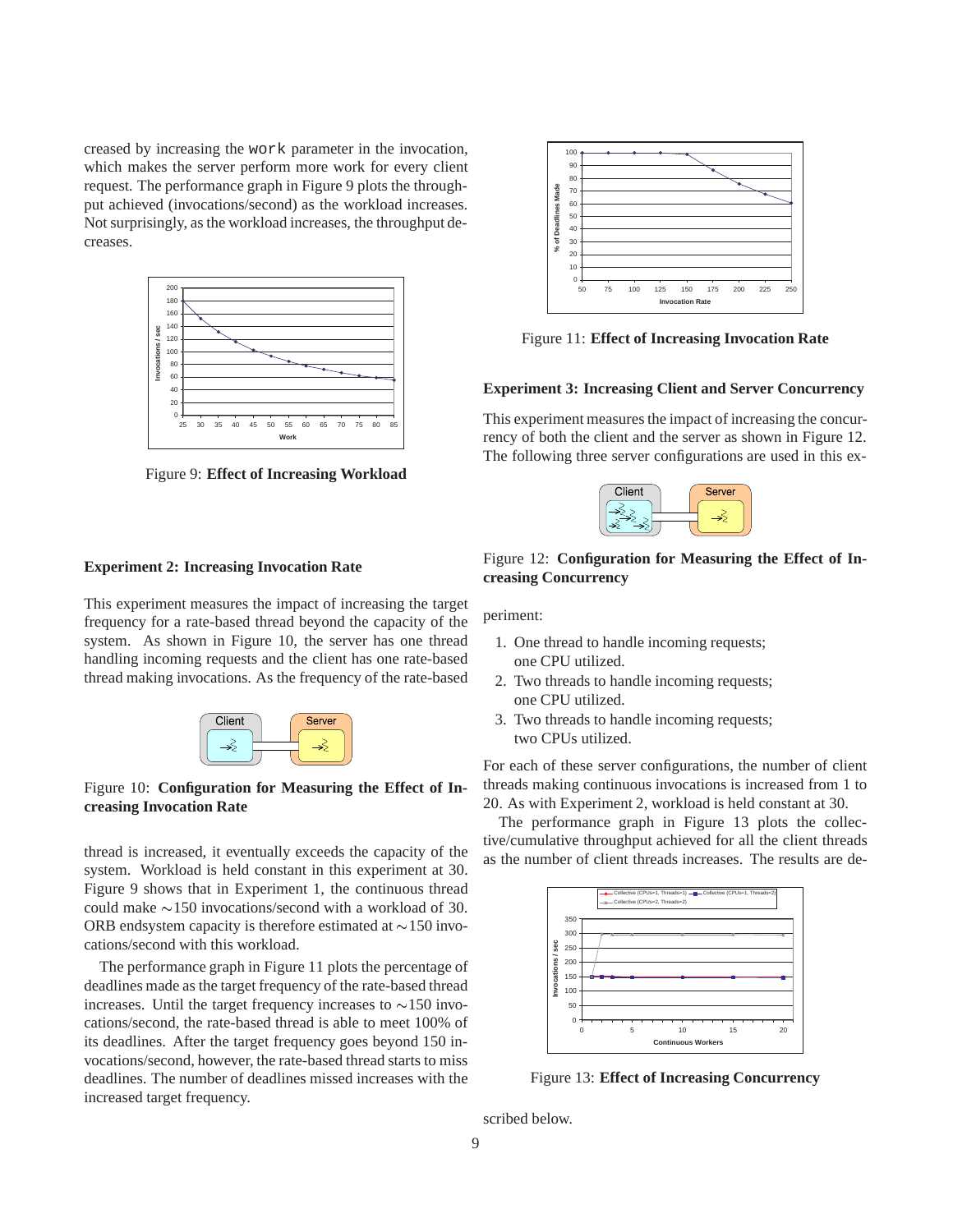creased by increasing the work parameter in the invocation, which makes the server perform more work for every client request. The performance graph in Figure 9 plots the throughput achieved (invocations/second) as the workload increases. Not surprisingly, as the workload increases, the throughput decreases.



Figure 9: **Effect of Increasing Workload**

#### **Experiment 2: Increasing Invocation Rate**

This experiment measures the impact of increasing the target frequency for a rate-based thread beyond the capacity of the system. As shown in Figure 10, the server has one thread handling incoming requests and the client has one rate-based thread making invocations. As the frequency of the rate-based



Figure 10: **Configuration for Measuring the Effect of Increasing Invocation Rate**

thread is increased, it eventually exceeds the capacity of the system. Workload is held constant in this experiment at 30. Figure 9 shows that in Experiment 1, the continuous thread could make  $\sim$ 150 invocations/second with a workload of 30. ORB endsystem capacity is therefore estimated at  $\sim$ 150 invocations/second with this workload.

The performance graph in Figure 11 plots the percentage of deadlines made as the target frequency of the rate-based thread increases. Until the target frequency increases to  $\sim$ 150 invocations/second, the rate-based thread is able to meet 100% of its deadlines. After the target frequency goes beyond 150 invocations/second, however, the rate-based thread starts to miss deadlines. The number of deadlines missed increases with the increased target frequency.



Figure 11: **Effect of Increasing Invocation Rate**

#### **Experiment 3: Increasing Client and Server Concurrency**

This experiment measures the impact of increasing the concurrency of both the client and the server as shown in Figure 12. The following three server configurations are used in this ex-



#### Figure 12: **Configuration for Measuring the Effect of Increasing Concurrency**

periment:

- 1. One thread to handle incoming requests; one CPU utilized.
- 2. Two threads to handle incoming requests; one CPU utilized.
- 3. Two threads to handle incoming requests; two CPUs utilized.

For each of these server configurations, the number of client threads making continuous invocations is increased from 1 to 20. As with Experiment 2, workload is held constant at 30.

The performance graph in Figure 13 plots the collective/cumulative throughput achieved for all the client threads as the number of client threads increases. The results are de-



Figure 13: **Effect of Increasing Concurrency**

scribed below.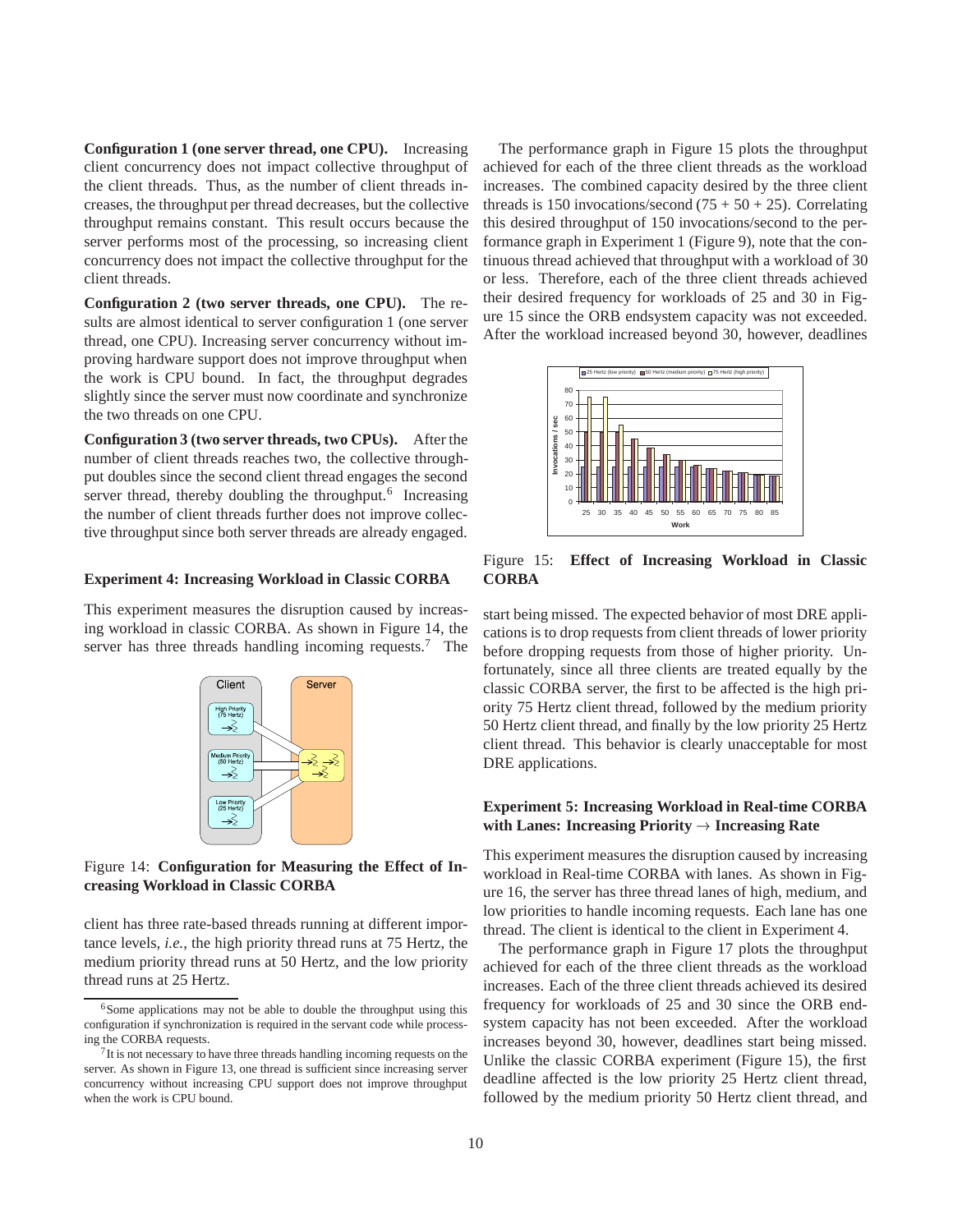**Configuration 1 (one server thread, one CPU).** Increasing client concurrency does not impact collective throughput of the client threads. Thus, as the number of client threads increases, the throughput per thread decreases, but the collective throughput remains constant. This result occurs because the server performs most of the processing, so increasing client concurrency does not impact the collective throughput for the client threads.

**Configuration 2 (two server threads, one CPU).** The results are almost identical to server configuration 1 (one server thread, one CPU). Increasing server concurrency without improving hardware support does not improve throughput when the work is CPU bound. In fact, the throughput degrades slightly since the server must now coordinate and synchronize the two threads on one CPU.

**Configuration 3 (two server threads, two CPUs).** After the number of client threads reaches two, the collective throughput doubles since the second client thread engages the second server thread, thereby doubling the throughput.<sup>6</sup> Increasing the number of client threads further does not improve collective throughput since both server threads are already engaged.

#### **Experiment 4: Increasing Workload in Classic CORBA**

This experiment measures the disruption caused by increasing workload in classic CORBA. As shown in Figure 14, the server has three threads handling incoming requests.<sup>7</sup> The



Figure 14: **Configuration for Measuring the Effect of Increasing Workload in Classic CORBA**

client has three rate-based threads running at different importance levels, *i.e.*, the high priority thread runs at 75 Hertz, the medium priority thread runs at 50 Hertz, and the low priority thread runs at 25 Hertz.

The performance graph in Figure 15 plots the throughput achieved for each of the three client threads as the workload increases. The combined capacity desired by the three client threads is 150 invocations/second  $(75 + 50 + 25)$ . Correlating this desired throughput of 150 invocations/second to the performance graph in Experiment 1 (Figure 9), note that the continuous thread achieved that throughput with a workload of 30 or less. Therefore, each of the three client threads achieved their desired frequency for workloads of 25 and 30 in Figure 15 since the ORB endsystem capacity was not exceeded. After the workload increased beyond 30, however, deadlines



Figure 15: **Effect of Increasing Workload in Classic CORBA**

start being missed. The expected behavior of most DRE applications is to drop requests from client threads of lower priority before dropping requests from those of higher priority. Unfortunately, since all three clients are treated equally by the classic CORBA server, the first to be affected is the high priority 75 Hertz client thread, followed by the medium priority 50 Hertz client thread, and finally by the low priority 25 Hertz client thread. This behavior is clearly unacceptable for most DRE applications.

#### **Experiment 5: Increasing Workload in Real-time CORBA** with Lanes: Increasing  $Priority \rightarrow Increasing Rate$

This experiment measures the disruption caused by increasing workload in Real-time CORBA with lanes. As shown in Figure 16, the server has three thread lanes of high, medium, and low priorities to handle incoming requests. Each lane has one thread. The client is identical to the client in Experiment 4.

The performance graph in Figure 17 plots the throughput achieved for each of the three client threads as the workload increases. Each of the three client threads achieved its desired frequency for workloads of 25 and 30 since the ORB endsystem capacity has not been exceeded. After the workload increases beyond 30, however, deadlines start being missed. Unlike the classic CORBA experiment (Figure 15), the first deadline affected is the low priority 25 Hertz client thread, followed by the medium priority 50 Hertz client thread, and

 $6$ Some applications may not be able to double the throughput using this configuration if synchronization is required in the servant code while processing the CORBA requests.

 $<sup>7</sup>$ It is not necessary to have three threads handling incoming requests on the</sup> server. As shown in Figure 13, one thread is sufficient since increasing server concurrency without increasing CPU support does not improve throughput when the work is CPU bound.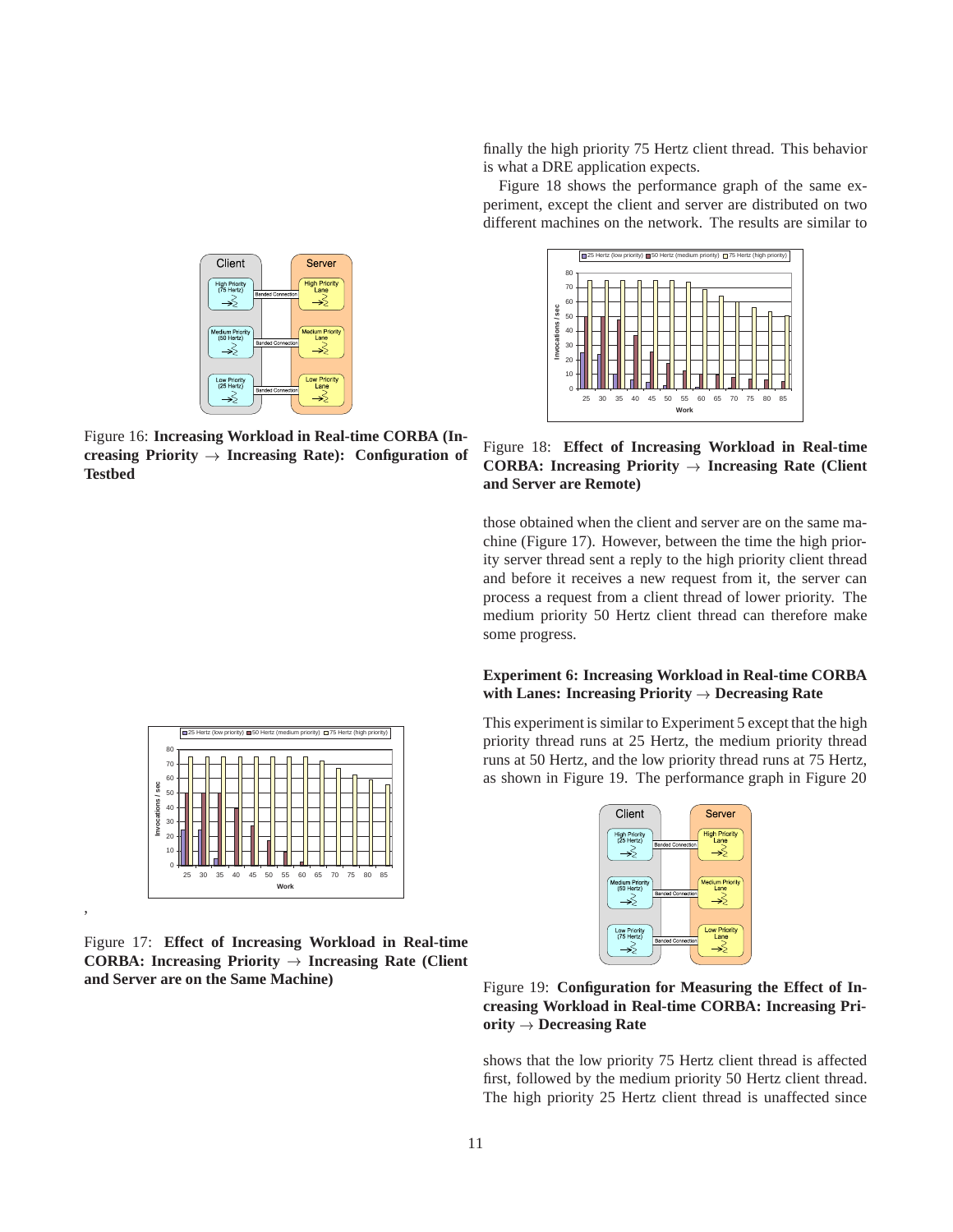finally the high priority 75 Hertz client thread. This behavior is what a DRE application expects.

Figure 18 shows the performance graph of the same experiment, except the client and server are distributed on two different machines on the network. The results are similar to



Figure 18: **Effect of Increasing Workload in Real-time CORBA:** Increasing Priority  $\rightarrow$  Increasing Rate (Client **and Server are Remote)**

those obtained when the client and server are on the same machine (Figure 17). However, between the time the high priority server thread sent a reply to the high priority client thread and before it receives a new request from it, the server can process a request from a client thread of lower priority. The medium priority 50 Hertz client thread can therefore make some progress.

#### **Experiment 6: Increasing Workload in Real-time CORBA** with Lanes: Increasing  $Priority \rightarrow Decreasing Rate$

This experiment is similar to Experiment 5 except that the high priority thread runs at 25 Hertz, the medium priority thread runs at 50 Hertz, and the low priority thread runs at 75 Hertz, as shown in Figure 19. The performance graph in Figure 20



Figure 19: **Configuration for Measuring the Effect of Increasing Workload in Real-time CORBA: Increasing Pri** $ority \rightarrow$  **Decreasing Rate** 

shows that the low priority 75 Hertz client thread is affected first, followed by the medium priority 50 Hertz client thread. The high priority 25 Hertz client thread is unaffected since



Figure 16: **Increasing Workload in Real-time CORBA (Increasing Priority**  $\rightarrow$  **Increasing Rate): Configuration of Testbed**



Figure 17: **Effect of Increasing Workload in Real-time CORBA:** Increasing Priority  $\rightarrow$  Increasing Rate (Client **and Server are on the Same Machine)**

,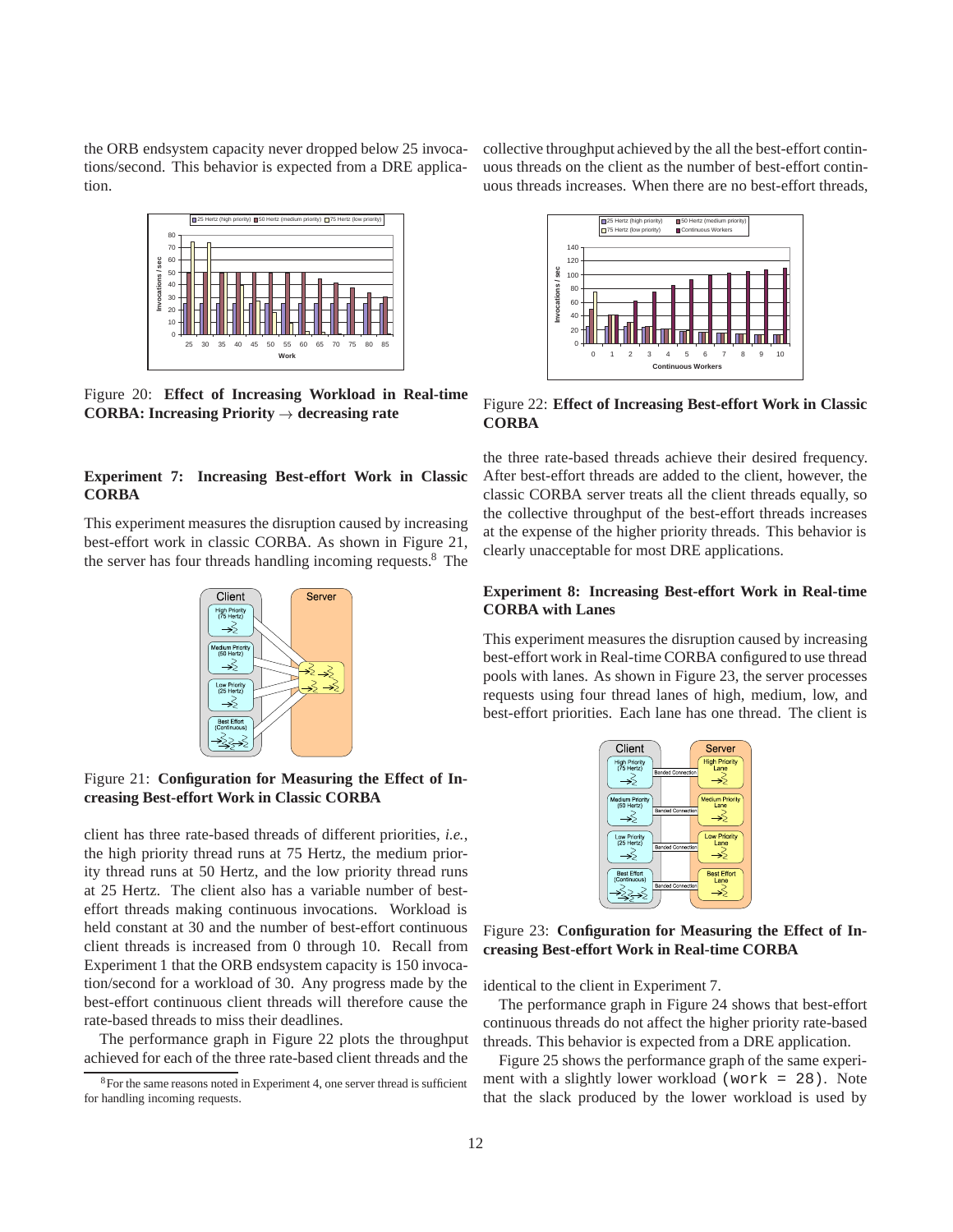the ORB endsystem capacity never dropped below 25 invocations/second. This behavior is expected from a DRE application.



Figure 20: **Effect of Increasing Workload in Real-time CORBA:** Increasing Priority  $\rightarrow$  decreasing rate

#### **Experiment 7: Increasing Best-effort Work in Classic CORBA**

This experiment measures the disruption caused by increasing best-effort work in classic CORBA. As shown in Figure 21, the server has four threads handling incoming requests.<sup>8</sup> The



Figure 21: **Configuration for Measuring the Effect of Increasing Best-effort Work in Classic CORBA**

client has three rate-based threads of different priorities, *i.e.*, the high priority thread runs at 75 Hertz, the medium priority thread runs at 50 Hertz, and the low priority thread runs at 25 Hertz. The client also has a variable number of besteffort threads making continuous invocations. Workload is held constant at 30 and the number of best-effort continuous client threads is increased from 0 through 10. Recall from Experiment 1 that the ORB endsystem capacity is 150 invocation/second for a workload of 30. Any progress made by the best-effort continuous client threads will therefore cause the rate-based threads to miss their deadlines.

The performance graph in Figure 22 plots the throughput achieved for each of the three rate-based client threads and the



Figure 22: **Effect of Increasing Best-effort Work in Classic CORBA**

the three rate-based threads achieve their desired frequency. After best-effort threads are added to the client, however, the classic CORBA server treats all the client threads equally, so the collective throughput of the best-effort threads increases at the expense of the higher priority threads. This behavior is clearly unacceptable for most DRE applications.

#### **Experiment 8: Increasing Best-effort Work in Real-time CORBA with Lanes**

This experiment measures the disruption caused by increasing best-effort work in Real-time CORBA configured to use thread pools with lanes. As shown in Figure 23, the server processes requests using four thread lanes of high, medium, low, and best-effort priorities. Each lane has one thread. The client is



Figure 23: **Configuration for Measuring the Effect of Increasing Best-effort Work in Real-time CORBA**

identical to the client in Experiment 7.

The performance graph in Figure 24 shows that best-effort continuous threads do not affect the higher priority rate-based threads. This behavior is expected from a DRE application.

Figure 25 shows the performance graph of the same experiment with a slightly lower workload (work = 28). Note that the slack produced by the lower workload is used by

collective throughput achieved by the all the best-effort continuous threads on the client as the number of best-effort continuous threads increases. When there are no best-effort threads,

 ${}^{8}$ For the same reasons noted in Experiment 4, one server thread is sufficient for handling incoming requests.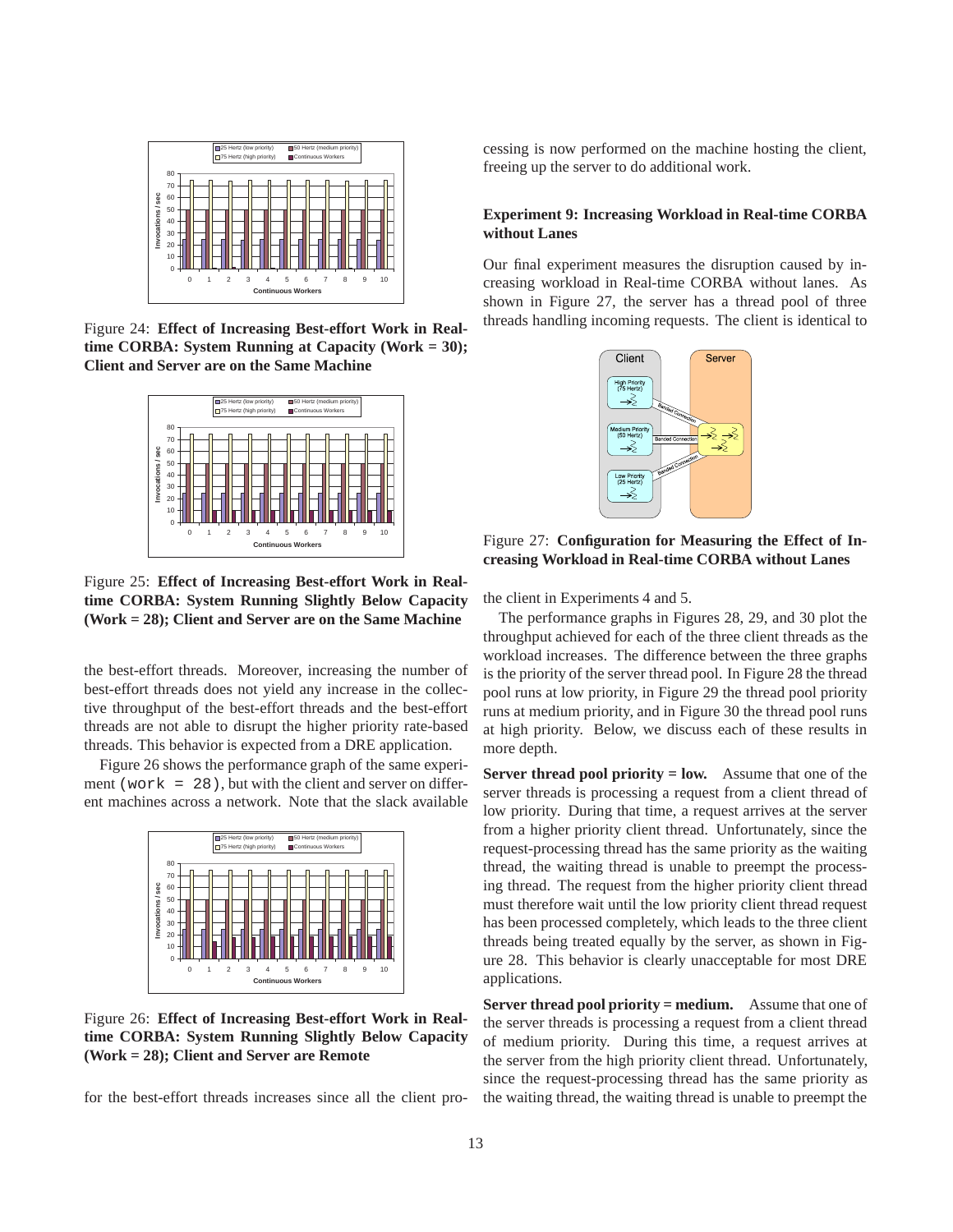

Figure 24: **Effect of Increasing Best-effort Work in Realtime CORBA: System Running at Capacity (Work = 30); Client and Server are on the Same Machine**



Figure 25: **Effect of Increasing Best-effort Work in Realtime CORBA: System Running Slightly Below Capacity (Work = 28); Client and Server are on the Same Machine**

the best-effort threads. Moreover, increasing the number of best-effort threads does not yield any increase in the collective throughput of the best-effort threads and the best-effort threads are not able to disrupt the higher priority rate-based threads. This behavior is expected from a DRE application.

Figure 26 shows the performance graph of the same experiment (work =  $28$ ), but with the client and server on different machines across a network. Note that the slack available



Figure 26: **Effect of Increasing Best-effort Work in Realtime CORBA: System Running Slightly Below Capacity (Work = 28); Client and Server are Remote**

for the best-effort threads increases since all the client pro-

cessing is now performed on the machine hosting the client, freeing up the server to do additional work.

#### **Experiment 9: Increasing Workload in Real-time CORBA without Lanes**

Our final experiment measures the disruption caused by increasing workload in Real-time CORBA without lanes. As shown in Figure 27, the server has a thread pool of three threads handling incoming requests. The client is identical to



Figure 27: **Configuration for Measuring the Effect of Increasing Workload in Real-time CORBA without Lanes**

the client in Experiments 4 and 5.

The performance graphs in Figures 28, 29, and 30 plot the throughput achieved for each of the three client threads as the workload increases. The difference between the three graphs is the priority of the server thread pool. In Figure 28 the thread pool runs at low priority, in Figure 29 the thread pool priority runs at medium priority, and in Figure 30 the thread pool runs at high priority. Below, we discuss each of these results in more depth.

**Server thread pool priority = low.** Assume that one of the server threads is processing a request from a client thread of low priority. During that time, a request arrives at the server from a higher priority client thread. Unfortunately, since the request-processing thread has the same priority as the waiting thread, the waiting thread is unable to preempt the processing thread. The request from the higher priority client thread must therefore wait until the low priority client thread request has been processed completely, which leads to the three client threads being treated equally by the server, as shown in Figure 28. This behavior is clearly unacceptable for most DRE applications.

**Server thread pool priority = medium.** Assume that one of the server threads is processing a request from a client thread of medium priority. During this time, a request arrives at the server from the high priority client thread. Unfortunately, since the request-processing thread has the same priority as the waiting thread, the waiting thread is unable to preempt the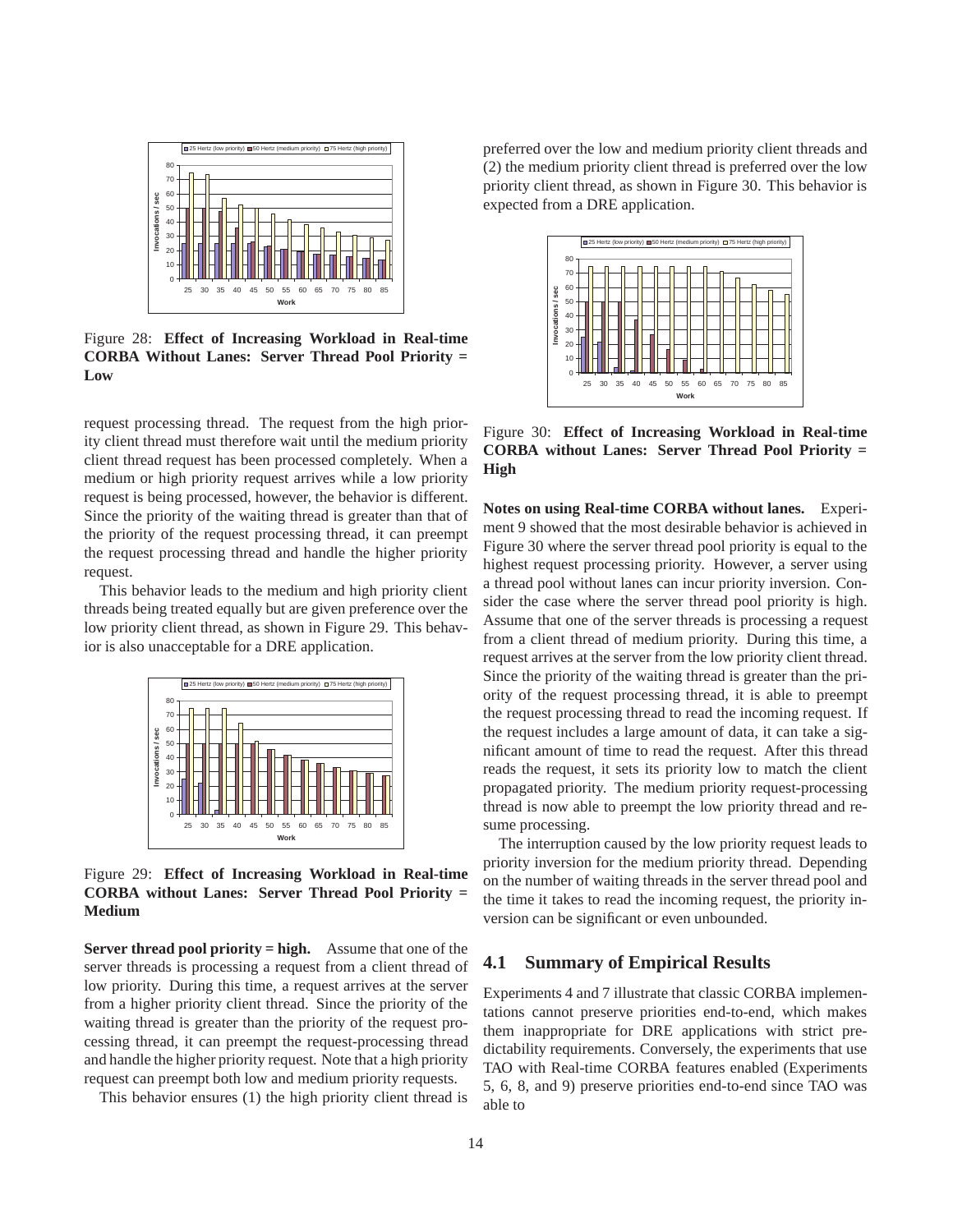

Figure 28: **Effect of Increasing Workload in Real-time CORBA Without Lanes: Server Thread Pool Priority = Low**

request processing thread. The request from the high priority client thread must therefore wait until the medium priority client thread request has been processed completely. When a medium or high priority request arrives while a low priority request is being processed, however, the behavior is different. Since the priority of the waiting thread is greater than that of the priority of the request processing thread, it can preempt the request processing thread and handle the higher priority request.

This behavior leads to the medium and high priority client threads being treated equally but are given preference over the low priority client thread, as shown in Figure 29. This behavior is also unacceptable for a DRE application.



Figure 29: **Effect of Increasing Workload in Real-time CORBA without Lanes: Server Thread Pool Priority = Medium**

**Server thread pool priority = high.** Assume that one of the server threads is processing a request from a client thread of low priority. During this time, a request arrives at the server from a higher priority client thread. Since the priority of the waiting thread is greater than the priority of the request processing thread, it can preempt the request-processing thread and handle the higher priority request. Note that a high priority request can preempt both low and medium priority requests.

This behavior ensures (1) the high priority client thread is

preferred over the low and medium priority client threads and (2) the medium priority client thread is preferred over the low priority client thread, as shown in Figure 30. This behavior is expected from a DRE application.



Figure 30: **Effect of Increasing Workload in Real-time CORBA without Lanes: Server Thread Pool Priority = High**

**Notes on using Real-time CORBA without lanes.** Experiment 9 showed that the most desirable behavior is achieved in Figure 30 where the server thread pool priority is equal to the highest request processing priority. However, a server using a thread pool without lanes can incur priority inversion. Consider the case where the server thread pool priority is high. Assume that one of the server threads is processing a request from a client thread of medium priority. During this time, a request arrives at the server from the low priority client thread. Since the priority of the waiting thread is greater than the priority of the request processing thread, it is able to preempt the request processing thread to read the incoming request. If the request includes a large amount of data, it can take a significant amount of time to read the request. After this thread reads the request, it sets its priority low to match the client propagated priority. The medium priority request-processing thread is now able to preempt the low priority thread and resume processing.

The interruption caused by the low priority request leads to priority inversion for the medium priority thread. Depending on the number of waiting threads in the server thread pool and the time it takes to read the incoming request, the priority inversion can be significant or even unbounded.

#### **4.1 Summary of Empirical Results**

Experiments 4 and 7 illustrate that classic CORBA implementations cannot preserve priorities end-to-end, which makes them inappropriate for DRE applications with strict predictability requirements. Conversely, the experiments that use TAO with Real-time CORBA features enabled (Experiments 5, 6, 8, and 9) preserve priorities end-to-end since TAO was able to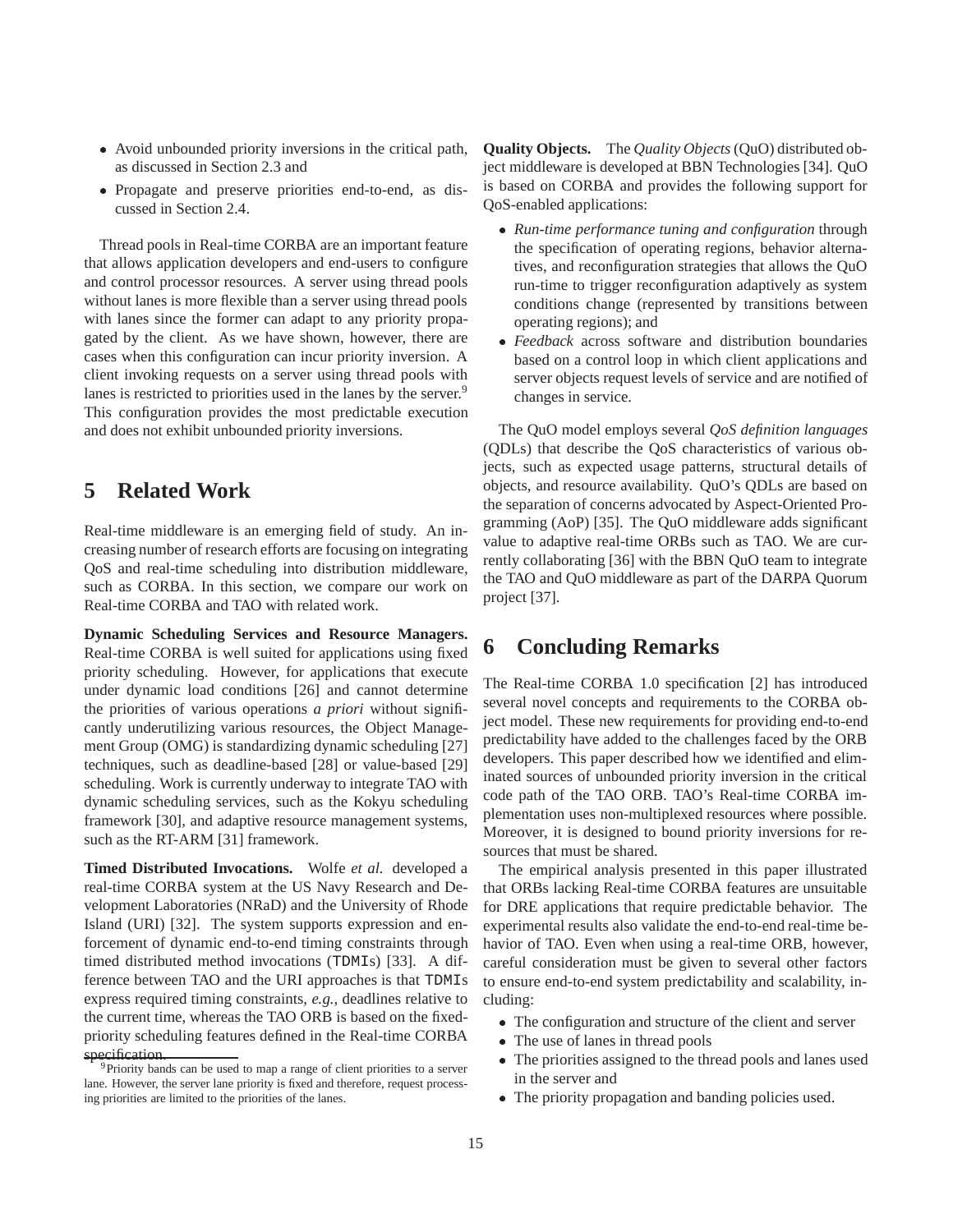- Avoid unbounded priority inversions in the critical path, as discussed in Section 2.3 and
- Propagate and preserve priorities end-to-end, as discussed in Section 2.4.

Thread pools in Real-time CORBA are an important feature that allows application developers and end-users to configure and control processor resources. A server using thread pools without lanes is more flexible than a server using thread pools with lanes since the former can adapt to any priority propagated by the client. As we have shown, however, there are cases when this configuration can incur priority inversion. A client invoking requests on a server using thread pools with lanes is restricted to priorities used in the lanes by the server.<sup>9</sup> This configuration provides the most predictable execution and does not exhibit unbounded priority inversions.

## **5 Related Work**

Real-time middleware is an emerging field of study. An increasing number of research efforts are focusing on integrating QoS and real-time scheduling into distribution middleware, such as CORBA. In this section, we compare our work on Real-time CORBA and TAO with related work.

**Dynamic Scheduling Services and Resource Managers.** Real-time CORBA is well suited for applications using fixed priority scheduling. However, for applications that execute under dynamic load conditions [26] and cannot determine the priorities of various operations *a priori* without significantly underutilizing various resources, the Object Management Group (OMG) is standardizing dynamic scheduling [27] techniques, such as deadline-based [28] or value-based [29] scheduling. Work is currently underway to integrate TAO with dynamic scheduling services, such as the Kokyu scheduling framework [30], and adaptive resource management systems, such as the RT-ARM [31] framework.

**Timed Distributed Invocations.** Wolfe *et al.* developed a real-time CORBA system at the US Navy Research and Development Laboratories (NRaD) and the University of Rhode Island (URI) [32]. The system supports expression and enforcement of dynamic end-to-end timing constraints through timed distributed method invocations (TDMIs) [33]. A difference between TAO and the URI approaches is that TDMIs express required timing constraints, *e.g.*, deadlines relative to the current time, whereas the TAO ORB is based on the fixedpriority scheduling features defined in the Real-time CORBA specification.

**Quality Objects.** The *Quality Objects*(QuO) distributed object middleware is developed at BBN Technologies [34]. QuO is based on CORBA and provides the following support for QoS-enabled applications:

- *Run-time performance tuning and configuration* through the specification of operating regions, behavior alternatives, and reconfiguration strategies that allows the QuO run-time to trigger reconfiguration adaptively as system conditions change (represented by transitions between operating regions); and
- *Feedback* across software and distribution boundaries based on a control loop in which client applications and server objects request levels of service and are notified of changes in service.

The QuO model employs several *QoS definition languages* (QDLs) that describe the QoS characteristics of various objects, such as expected usage patterns, structural details of objects, and resource availability. QuO's QDLs are based on the separation of concerns advocated by Aspect-Oriented Programming (AoP) [35]. The QuO middleware adds significant value to adaptive real-time ORBs such as TAO. We are currently collaborating [36] with the BBN QuO team to integrate the TAO and QuO middleware as part of the DARPA Quorum project [37].

## **6 Concluding Remarks**

The Real-time CORBA 1.0 specification [2] has introduced several novel concepts and requirements to the CORBA object model. These new requirements for providing end-to-end predictability have added to the challenges faced by the ORB developers. This paper described how we identified and eliminated sources of unbounded priority inversion in the critical code path of the TAO ORB. TAO's Real-time CORBA implementation uses non-multiplexed resources where possible. Moreover, it is designed to bound priority inversions for resources that must be shared.

The empirical analysis presented in this paper illustrated that ORBs lacking Real-time CORBA features are unsuitable for DRE applications that require predictable behavior. The experimental results also validate the end-to-end real-time behavior of TAO. Even when using a real-time ORB, however, careful consideration must be given to several other factors to ensure end-to-end system predictability and scalability, including:

- The configuration and structure of the client and server
- The use of lanes in thread pools
- The priorities assigned to the thread pools and lanes used in the server and
- The priority propagation and banding policies used.

<sup>&</sup>lt;sup>9</sup>Priority bands can be used to map a range of client priorities to a server lane. However, the server lane priority is fixed and therefore, request processing priorities are limited to the priorities of the lanes.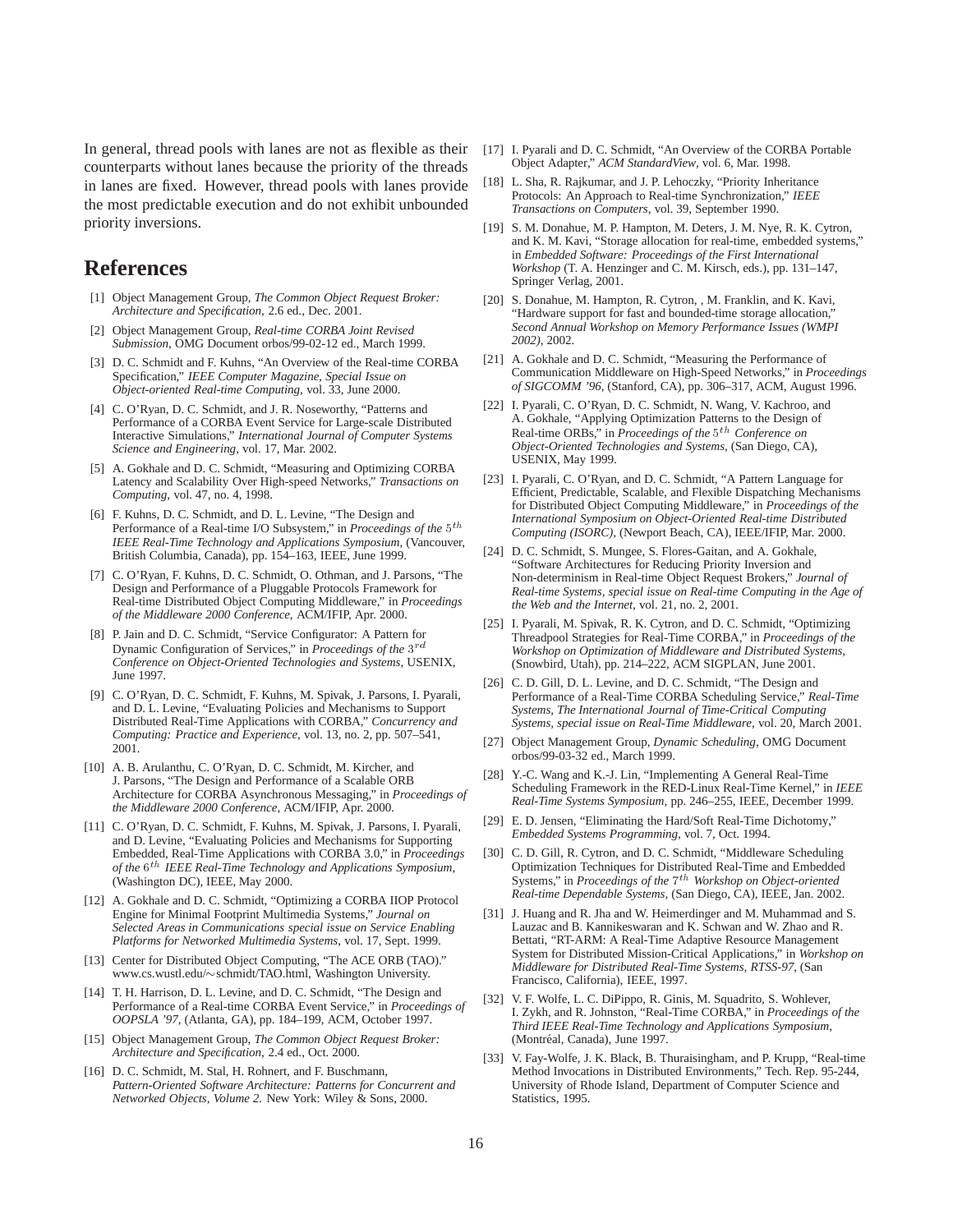In general, thread pools with lanes are not as flexible as their counterparts without lanes because the priority of the threads in lanes are fixed. However, thread pools with lanes provide the most predictable execution and do not exhibit unbounded priority inversions.

## **References**

- [1] Object Management Group, *The Common Object Request Broker: Architecture and Specification*, 2.6 ed., Dec. 2001.
- [2] Object Management Group, *Real-time CORBA Joint Revised Submission*, OMG Document orbos/99-02-12 ed., March 1999.
- [3] D. C. Schmidt and F. Kuhns, "An Overview of the Real-time CORBA Specification," *IEEE Computer Magazine, Special Issue on Object-oriented Real-time Computing*, vol. 33, June 2000.
- [4] C. O'Ryan, D. C. Schmidt, and J. R. Noseworthy, "Patterns and Performance of a CORBA Event Service for Large-scale Distributed Interactive Simulations," *International Journal of Computer Systems Science and Engineering*, vol. 17, Mar. 2002.
- [5] A. Gokhale and D. C. Schmidt, "Measuring and Optimizing CORBA Latency and Scalability Over High-speed Networks," *Transactions on Computing*, vol. 47, no. 4, 1998.
- [6] F. Kuhns, D. C. Schmidt, and D. L. Levine, "The Design and Performance of a Real-time I/O Subsystem," in *Proceedings of the*  $5^{th}$ *IEEE Real-Time Technology and Applications Symposium*, (Vancouver, British Columbia, Canada), pp. 154–163, IEEE, June 1999.
- [7] C. O'Ryan, F. Kuhns, D. C. Schmidt, O. Othman, and J. Parsons, "The Design and Performance of a Pluggable Protocols Framework for Real-time Distributed Object Computing Middleware," in *Proceedings of the Middleware 2000 Conference*, ACM/IFIP, Apr. 2000.
- [8] P. Jain and D. C. Schmidt, "Service Configurator: A Pattern for Dynamic Configuration of Services," in *Proceedings of the* <sup>3</sup>rd *Conference on Object-Oriented Technologies and Systems*, USENIX, June 1997.
- [9] C. O'Ryan, D. C. Schmidt, F. Kuhns, M. Spivak, J. Parsons, I. Pyarali, and D. L. Levine, "Evaluating Policies and Mechanisms to Support Distributed Real-Time Applications with CORBA," *Concurrency and Computing: Practice and Experience*, vol. 13, no. 2, pp. 507–541, 2001.
- [10] A. B. Arulanthu, C. O'Ryan, D. C. Schmidt, M. Kircher, and J. Parsons, "The Design and Performance of a Scalable ORB Architecture for CORBA Asynchronous Messaging," in *Proceedings of the Middleware 2000 Conference*, ACM/IFIP, Apr. 2000.
- [11] C. O'Ryan, D. C. Schmidt, F. Kuhns, M. Spivak, J. Parsons, I. Pyarali, and D. Levine, "Evaluating Policies and Mechanisms for Supporting Embedded, Real-Time Applications with CORBA 3.0," in *Proceedings of the* <sup>6</sup>th *IEEE Real-Time Technology and Applications Symposium*, (Washington DC), IEEE, May 2000.
- [12] A. Gokhale and D. C. Schmidt, "Optimizing a CORBA IIOP Protocol Engine for Minimal Footprint Multimedia Systems," *Journal on Selected Areas in Communications special issue on Service Enabling Platforms for Networked Multimedia Systems*, vol. 17, Sept. 1999.
- [13] Center for Distributed Object Computing, "The ACE ORB (TAO)." www.cs.wustl.edu/ $\sim$ schmidt/TAO.html, Washington University.
- [14] T. H. Harrison, D. L. Levine, and D. C. Schmidt, "The Design and Performance of a Real-time CORBA Event Service," in *Proceedings of OOPSLA '97*, (Atlanta, GA), pp. 184–199, ACM, October 1997.
- [15] Object Management Group, *The Common Object Request Broker: Architecture and Specification*, 2.4 ed., Oct. 2000.
- [16] D. C. Schmidt, M. Stal, H. Rohnert, and F. Buschmann, *Pattern-Oriented Software Architecture: Patterns for Concurrent and Networked Objects, Volume 2*. New York: Wiley & Sons, 2000.
- [17] I. Pyarali and D. C. Schmidt, "An Overview of the CORBA Portable Object Adapter," *ACM StandardView*, vol. 6, Mar. 1998.
- [18] L. Sha, R. Rajkumar, and J. P. Lehoczky, "Priority Inheritance Protocols: An Approach to Real-time Synchronization," *IEEE Transactions on Computers*, vol. 39, September 1990.
- [19] S. M. Donahue, M. P. Hampton, M. Deters, J. M. Nye, R. K. Cytron, and K. M. Kavi, "Storage allocation for real-time, embedded systems," in *Embedded Software: Proceedings of the First International Workshop* (T. A. Henzinger and C. M. Kirsch, eds.), pp. 131–147, Springer Verlag, 2001.
- [20] S. Donahue, M. Hampton, R. Cytron, , M. Franklin, and K. Kavi, "Hardware support for fast and bounded-time storage allocation," *Second Annual Workshop on Memory Performance Issues (WMPI 2002)*, 2002.
- [21] A. Gokhale and D. C. Schmidt, "Measuring the Performance of Communication Middleware on High-Speed Networks," in *Proceedings of SIGCOMM '96*, (Stanford, CA), pp. 306–317, ACM, August 1996.
- [22] I. Pyarali, C. O'Ryan, D. C. Schmidt, N. Wang, V. Kachroo, and A. Gokhale, "Applying Optimization Patterns to the Design of Real-time ORBs," in *Proceedings of the* <sup>5</sup>th *Conference on Object-Oriented Technologies and Systems*, (San Diego, CA), USENIX, May 1999.
- [23] I. Pyarali, C. O'Ryan, and D. C. Schmidt, "A Pattern Language for Efficient, Predictable, Scalable, and Flexible Dispatching Mechanisms for Distributed Object Computing Middleware," in *Proceedings of the International Symposium on Object-Oriented Real-time Distributed Computing (ISORC)*, (Newport Beach, CA), IEEE/IFIP, Mar. 2000.
- [24] D. C. Schmidt, S. Mungee, S. Flores-Gaitan, and A. Gokhale, "Software Architectures for Reducing Priority Inversion and Non-determinism in Real-time Object Request Brokers," *Journal of Real-time Systems, special issue on Real-time Computing in the Age of the Web and the Internet*, vol. 21, no. 2, 2001.
- [25] I. Pyarali, M. Spivak, R. K. Cytron, and D. C. Schmidt, "Optimizing Threadpool Strategies for Real-Time CORBA," in *Proceedings of the Workshop on Optimization of Middleware and Distributed Systems*, (Snowbird, Utah), pp. 214–222, ACM SIGPLAN, June 2001.
- [26] C. D. Gill, D. L. Levine, and D. C. Schmidt, "The Design and Performance of a Real-Time CORBA Scheduling Service," *Real-Time Systems, The International Journal of Time-Critical Computing Systems, special issue on Real-Time Middleware*, vol. 20, March 2001.
- [27] Object Management Group, *Dynamic Scheduling*, OMG Document orbos/99-03-32 ed., March 1999.
- [28] Y.-C. Wang and K.-J. Lin, "Implementing A General Real-Time Scheduling Framework in the RED-Linux Real-Time Kernel," in *IEEE Real-Time Systems Symposium*, pp. 246–255, IEEE, December 1999.
- [29] E. D. Jensen, "Eliminating the Hard/Soft Real-Time Dichotomy," *Embedded Systems Programming*, vol. 7, Oct. 1994.
- [30] C. D. Gill, R. Cytron, and D. C. Schmidt, "Middleware Scheduling Optimization Techniques for Distributed Real-Time and Embedded Systems," in *Proceedings of the*  $7<sup>th</sup>$  *Workshop on Object-oriented Real-time Dependable Systems*, (San Diego, CA), IEEE, Jan. 2002.
- [31] J. Huang and R. Jha and W. Heimerdinger and M. Muhammad and S. Lauzac and B. Kannikeswaran and K. Schwan and W. Zhao and R. Bettati, "RT-ARM: A Real-Time Adaptive Resource Management System for Distributed Mission-Critical Applications," in *Workshop on Middleware for Distributed Real-Time Systems, RTSS-97*, (San Francisco, California), IEEE, 1997.
- [32] V. F. Wolfe, L. C. DiPippo, R. Ginis, M. Squadrito, S. Wohlever, I. Zykh, and R. Johnston, "Real-Time CORBA," in *Proceedings of the Third IEEE Real-Time Technology and Applications Symposium*, (Montréal, Canada), June 1997.
- [33] V. Fay-Wolfe, J. K. Black, B. Thuraisingham, and P. Krupp, "Real-time Method Invocations in Distributed Environments," Tech. Rep. 95-244, University of Rhode Island, Department of Computer Science and Statistics, 1995.